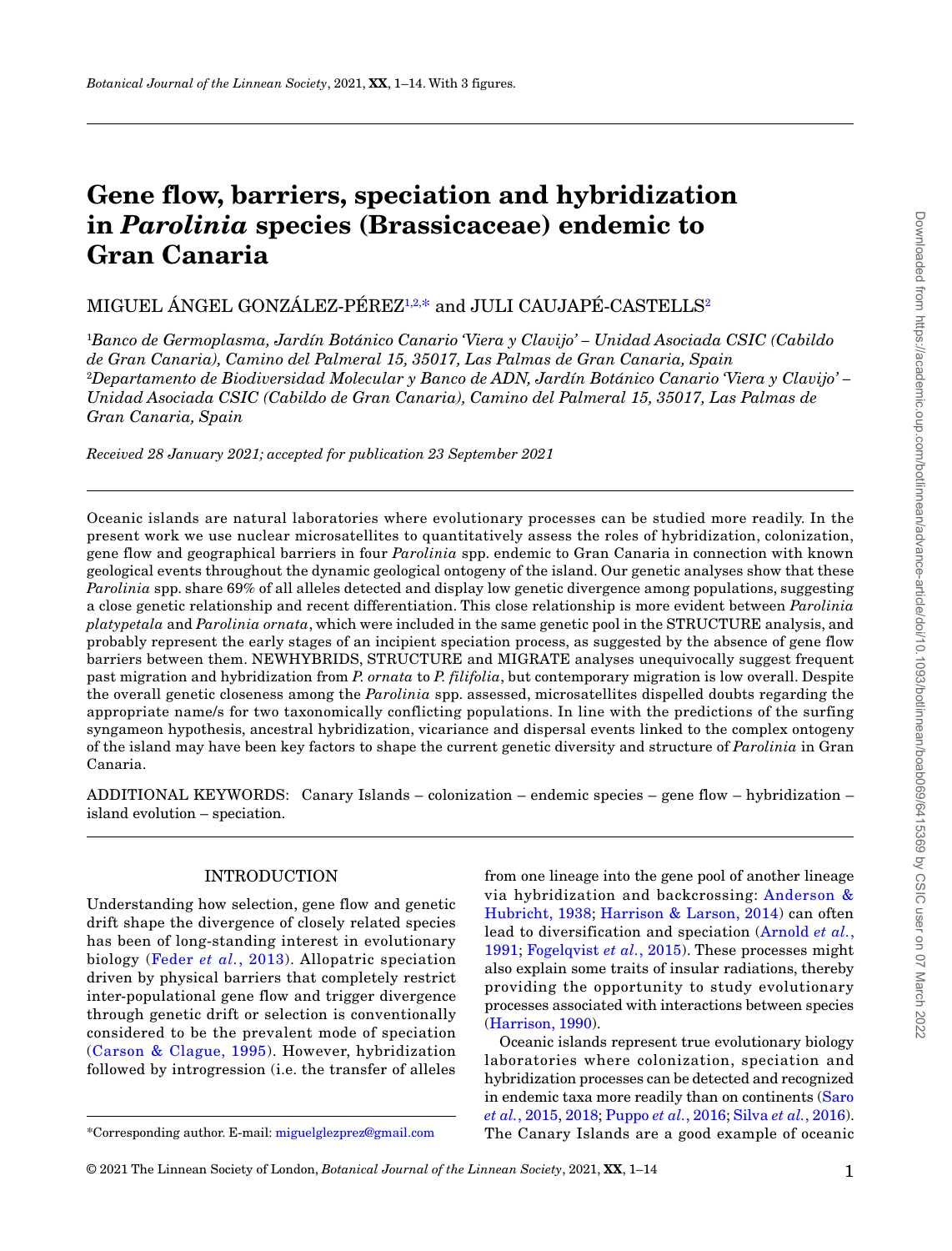# **Gene flow, barriers, speciation and hybridization in** *Parolinia* **species (Brassicaceae) endemic to Gran Canaria**

 $\rm MIGUEL$   $\rm ANGEL$   $\rm GONZALEZ\mbox{-}PEREZ^{\rm 1,2,*}$  and  $\rm JULI$   $\rm CAUJAPE\mbox{-}CASTELLS^{\rm 2}$ 

1 *Banco de Germoplasma, Jardín Botánico Canario 'Viera y Clavijo' – Unidad Asociada CSIC (Cabildo de Gran Canaria), Camino del Palmeral 15, 35017, Las Palmas de Gran Canaria, Spain* 2 *Departamento de Biodiversidad Molecular y Banco de ADN, Jardín Botánico Canario 'Viera y Clavijo' – Unidad Asociada CSIC (Cabildo de Gran Canaria), Camino del Palmeral 15, 35017, Las Palmas de Gran Canaria, Spain*

*Received 28 January 2021; accepted for publication 23 September 2021*

Oceanic islands are natural laboratories where evolutionary processes can be studied more readily. In the present work we use nuclear microsatellites to quantitatively assess the roles of hybridization, colonization, gene flow and geographical barriers in four *Parolinia* spp. endemic to Gran Canaria in connection with known geological events throughout the dynamic geological ontogeny of the island. Our genetic analyses show that these *Parolinia* spp. share 69% of all alleles detected and display low genetic divergence among populations, suggesting a close genetic relationship and recent differentiation. This close relationship is more evident between *Parolinia platypetala* and *Parolinia ornata*, which were included in the same genetic pool in the STRUCTURE analysis, and probably represent the early stages of an incipient speciation process, as suggested by the absence of gene flow barriers between them. NEWHYBRIDS, STRUCTURE and MIGRATE analyses unequivocally suggest frequent past migration and hybridization from *P. ornata* to *P. filifolia*, but contemporary migration is low overall. Despite the overall genetic closeness among the *Parolinia* spp. assessed, microsatellites dispelled doubts regarding the appropriate name/s for two taxonomically conflicting populations. In line with the predictions of the surfing syngameon hypothesis, ancestral hybridization, vicariance and dispersal events linked to the complex ontogeny of the island may have been key factors to shape the current genetic diversity and structure of *Parolinia* in Gran Canaria.

ADDITIONAL KEYWORDS: Canary Islands – colonization – endemic species – gene flow – hybridization – island evolution – speciation.

## INTRODUCTION

Understanding how selection, gene flow and genetic drift shape the divergence of closely related species has been of long-standing interest in evolutionary biology (Feder *et al.*, 2013). Allopatric speciation driven by physical barriers that completely restrict inter-populational gene flow and trigger divergence through genetic drift or selection is conventionally considered to be the prevalent mode of speciation (Carson & Clague, 1995). However, hybridization followed by introgression (i.e. the transfer of alleles

from one lineage into the gene pool of another lineage via hybridization and backcrossing: Anderson & Hubricht, 1938; Harrison & Larson, 2014) can often lead to diversification and speciation (Arnold *et al.*, 1991; Fogelqvist *et al.*, 2015). These processes might also explain some traits of insular radiations, thereby providing the opportunity to study evolutionary processes associated with interactions between species (Harrison, 1990).

Oceanic islands represent true evolutionary biology laboratories where colonization, speciation and hybridization processes can be detected and recognized in endemic taxa more readily than on continents (Saro *et al.*, 2015, 2018; Puppo *et al.*, 2016; Silva *et al.*, 2016). \*Corresponding author. E-mail: miguelglezprez@gmail.com The Canary Islands are a good example of oceanic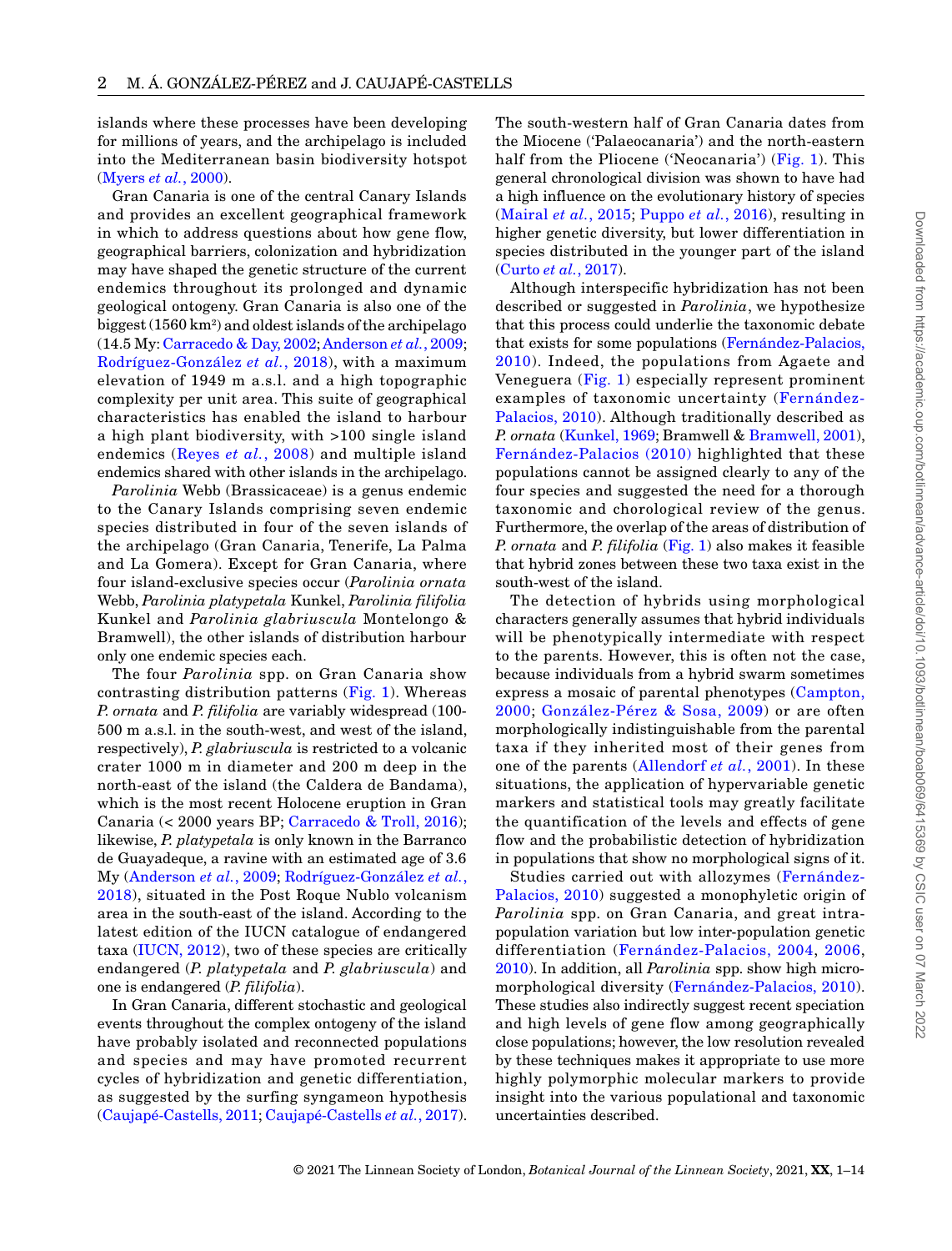Downloaded from https://academic.oup.com/botlinnean/advance-article/doi/10.1093/botlinnean/boab069/6415369 by CSIC user on 07 March 2022 Downloaded from https://academic.oup.com/botlinnean/advance-article/doi/10.1093/botlinnean/boab069/6415369 by CSIC user on 07 March 2022

islands where these processes have been developing for millions of years, and the archipelago is included into the Mediterranean basin biodiversity hotspot (Myers *et al.*, 2000).

Gran Canaria is one of the central Canary Islands and provides an excellent geographical framework in which to address questions about how gene flow, geographical barriers, colonization and hybridization may have shaped the genetic structure of the current endemics throughout its prolonged and dynamic geological ontogeny. Gran Canaria is also one of the biggest (1560 km2 ) and oldest islands of the archipelago (14.5 My: Carracedo & Day, 2002; Anderson *et al.*, 2009; Rodríguez-González *et al.*, 2018), with a maximum elevation of 1949 m a.s.l. and a high topographic complexity per unit area. This suite of geographical characteristics has enabled the island to harbour a high plant biodiversity, with >100 single island endemics (Reyes *et al.*, 2008) and multiple island endemics shared with other islands in the archipelago.

*Parolinia* Webb (Brassicaceae) is a genus endemic to the Canary Islands comprising seven endemic species distributed in four of the seven islands of the archipelago (Gran Canaria, Tenerife, La Palma and La Gomera). Except for Gran Canaria, where four island-exclusive species occur (*Parolinia ornata* Webb, *Parolinia platypetala* Kunkel, *Parolinia filifolia* Kunkel and *Parolinia glabriuscula* Montelongo & Bramwell), the other islands of distribution harbour only one endemic species each.

The four *Parolinia* spp. on Gran Canaria show contrasting distribution patterns (Fig. 1). Whereas *P. ornata* and *P. filifolia* are variably widespread (100- 500 m a.s.l. in the south-west, and west of the island, respectively), *P. glabriuscula* is restricted to a volcanic crater 1000 m in diameter and 200 m deep in the north-east of the island (the Caldera de Bandama), which is the most recent Holocene eruption in Gran Canaria (< 2000 years BP; Carracedo & Troll, 2016); likewise, *P. platypetala* is only known in the Barranco de Guayadeque, a ravine with an estimated age of 3.6 My (Anderson *et al.*, 2009; Rodríguez-González *et al.*, 2018), situated in the Post Roque Nublo volcanism area in the south-east of the island. According to the latest edition of the IUCN catalogue of endangered taxa (IUCN, 2012), two of these species are critically endangered (*P. platypetala* and *P. glabriuscula*) and one is endangered (*P. filifolia*).

In Gran Canaria, different stochastic and geological events throughout the complex ontogeny of the island have probably isolated and reconnected populations and species and may have promoted recurrent cycles of hybridization and genetic differentiation, as suggested by the surfing syngameon hypothesis (Caujapé-Castells, 2011; Caujapé-Castells *et al.*, 2017). The south-western half of Gran Canaria dates from the Miocene ('Palaeocanaria') and the north-eastern half from the Pliocene ('Neocanaria') (Fig. 1). This general chronological division was shown to have had a high influence on the evolutionary history of species (Mairal *et al.*, 2015; Puppo *et al.*, 2016), resulting in higher genetic diversity, but lower differentiation in species distributed in the younger part of the island (Curto *et al.*, 2017).

Although interspecific hybridization has not been described or suggested in *Parolinia*, we hypothesize that this process could underlie the taxonomic debate that exists for some populations (Fernández-Palacios, 2010). Indeed, the populations from Agaete and Veneguera (Fig. 1) especially represent prominent examples of taxonomic uncertainty (Fernández-Palacios, 2010). Although traditionally described as *P. ornata* (Kunkel, 1969; Bramwell & Bramwell, 2001), Fernández-Palacios (2010) highlighted that these populations cannot be assigned clearly to any of the four species and suggested the need for a thorough taxonomic and chorological review of the genus. Furthermore, the overlap of the areas of distribution of *P. ornata* and *P. filifolia* (Fig. 1) also makes it feasible that hybrid zones between these two taxa exist in the south-west of the island.

The detection of hybrids using morphological characters generally assumes that hybrid individuals will be phenotypically intermediate with respect to the parents. However, this is often not the case, because individuals from a hybrid swarm sometimes express a mosaic of parental phenotypes (Campton, 2000; González-Pérez & Sosa, 2009) or are often morphologically indistinguishable from the parental taxa if they inherited most of their genes from one of the parents (Allendorf *et al.*, 2001). In these situations, the application of hypervariable genetic markers and statistical tools may greatly facilitate the quantification of the levels and effects of gene flow and the probabilistic detection of hybridization in populations that show no morphological signs of it.

Studies carried out with allozymes (Fernández-Palacios, 2010) suggested a monophyletic origin of *Parolinia* spp. on Gran Canaria, and great intrapopulation variation but low inter-population genetic differentiation (Fernández-Palacios, 2004, 2006, 2010). In addition, all *Parolinia* spp. show high micromorphological diversity (Fernández-Palacios, 2010). These studies also indirectly suggest recent speciation and high levels of gene flow among geographically close populations; however, the low resolution revealed by these techniques makes it appropriate to use more highly polymorphic molecular markers to provide insight into the various populational and taxonomic uncertainties described.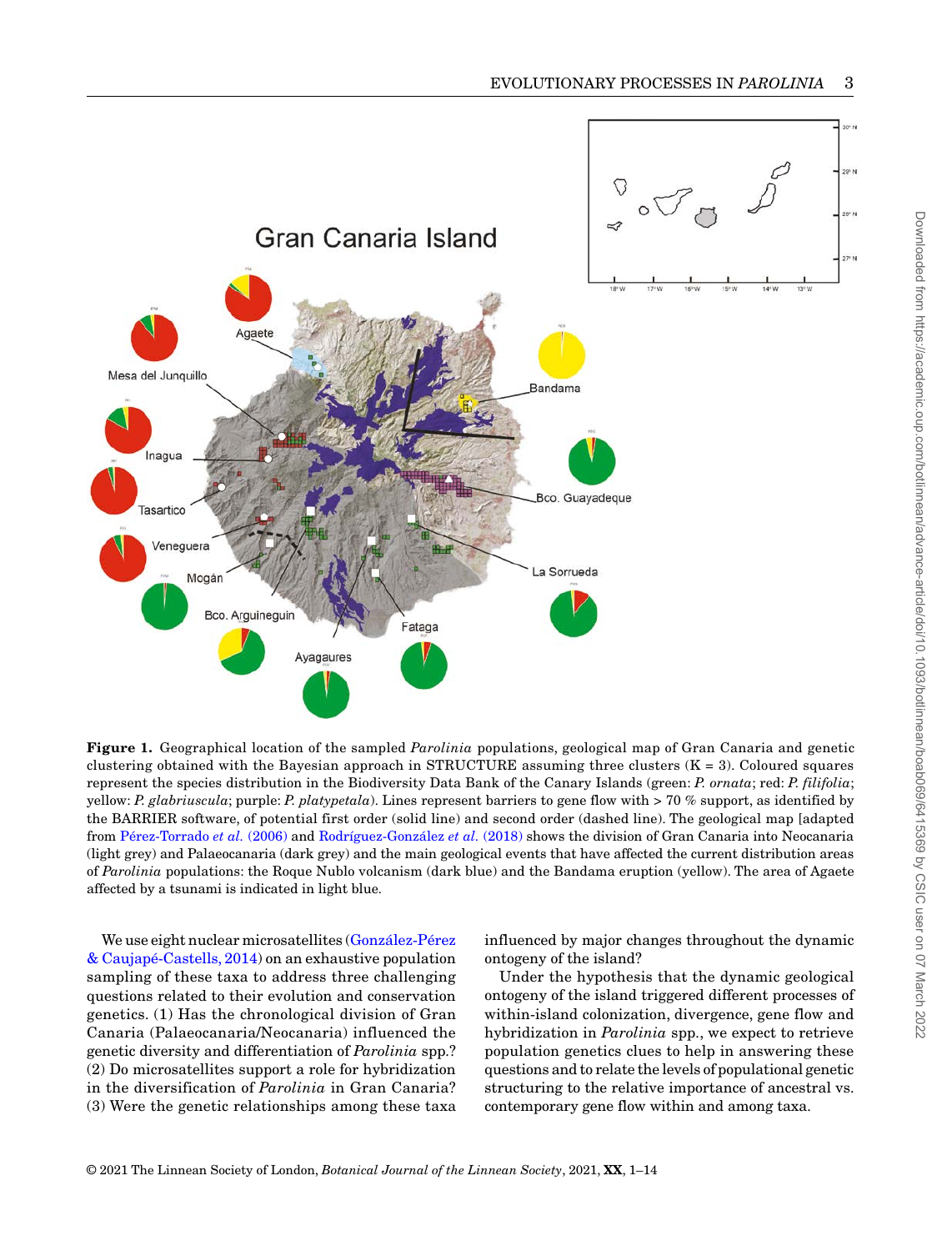

**Figure 1.** Geographical location of the sampled *Parolinia* populations, geological map of Gran Canaria and genetic clustering obtained with the Bayesian approach in STRUCTURE assuming three clusters  $(K = 3)$ . Coloured squares represent the species distribution in the Biodiversity Data Bank of the Canary Islands (green: *P. ornata*; red: *P. filifolia*; yellow: *P. glabriuscula*; purple: *P. platypetala*). Lines represent barriers to gene flow with > 70 % support, as identified by the BARRIER software, of potential first order (solid line) and second order (dashed line). The geological map [adapted from Pérez-Torrado *et al.* (2006) and Rodríguez-González *et al.* (2018) shows the division of Gran Canaria into Neocanaria (light grey) and Palaeocanaria (dark grey) and the main geological events that have affected the current distribution areas of *Parolinia* populations: the Roque Nublo volcanism (dark blue) and the Bandama eruption (yellow). The area of Agaete affected by a tsunami is indicated in light blue.

We use eight nuclear microsatellites (González-Pérez & Caujapé-Castells, 2014) on an exhaustive population sampling of these taxa to address three challenging questions related to their evolution and conservation genetics. (1) Has the chronological division of Gran Canaria (Palaeocanaria/Neocanaria) influenced the genetic diversity and differentiation of *Parolinia* spp.? (2) Do microsatellites support a role for hybridization in the diversification of *Parolinia* in Gran Canaria? (3) Were the genetic relationships among these taxa

influenced by major changes throughout the dynamic ontogeny of the island?

Under the hypothesis that the dynamic geological ontogeny of the island triggered different processes of within-island colonization, divergence, gene flow and hybridization in *Parolinia* spp., we expect to retrieve population genetics clues to help in answering these questions and to relate the levels of populational genetic structuring to the relative importance of ancestral vs. contemporary gene flow within and among taxa.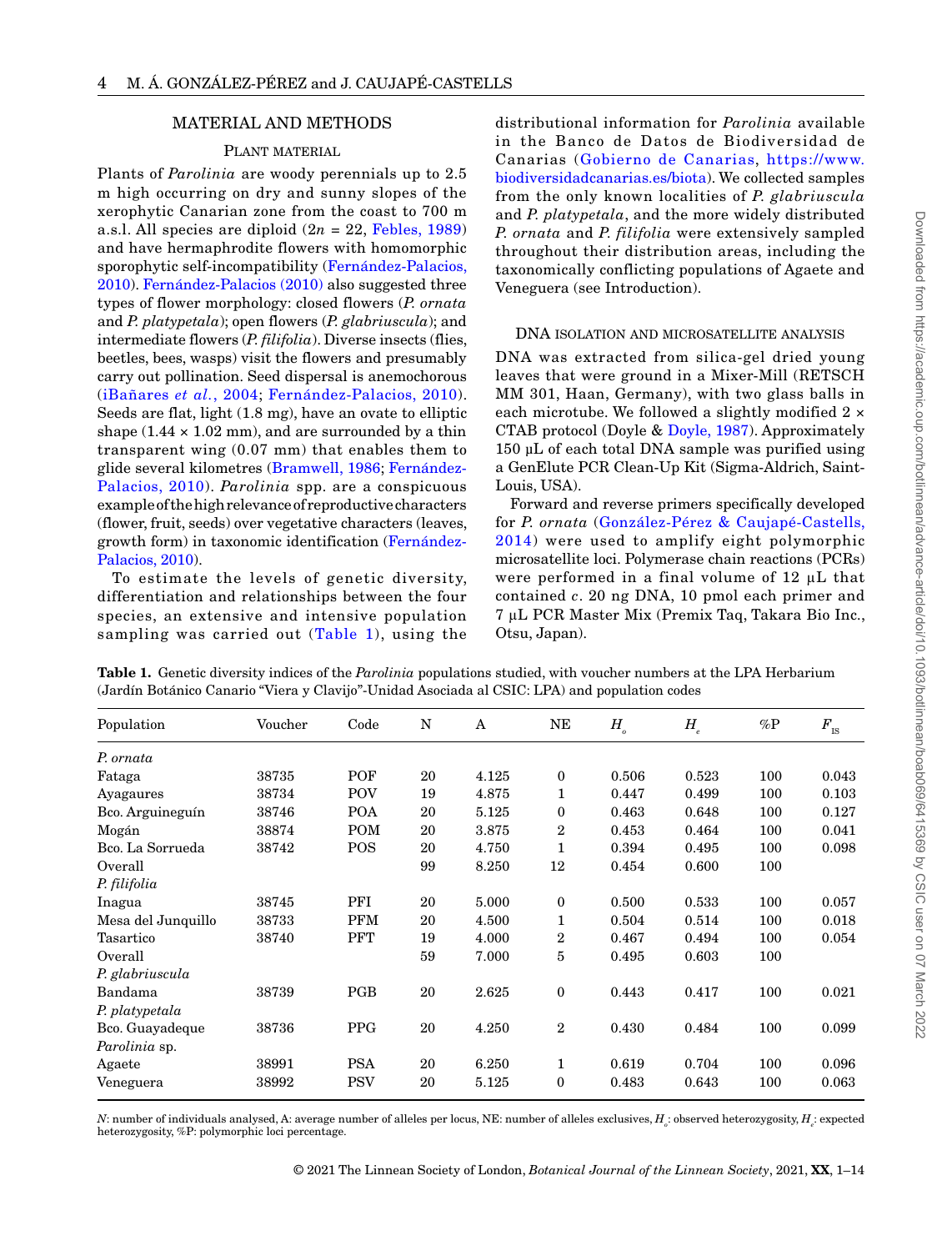## MATERIAL AND METHODS

## PLANT MATERIAL

Plants of *Parolinia* are woody perennials up to 2.5 m high occurring on dry and sunny slopes of the xerophytic Canarian zone from the coast to 700 m a.s.l. All species are diploid  $(2n = 22,$  Febles, 1989) and have hermaphrodite flowers with homomorphic sporophytic self-incompatibility (Fernández-Palacios, 2010). Fernández-Palacios (2010) also suggested three types of flower morphology: closed flowers (*P. ornata* and *P. platypetala*); open flowers (*P. glabriuscula*); and intermediate flowers (*P. filifolia*). Diverse insects (flies, beetles, bees, wasps) visit the flowers and presumably carry out pollination. Seed dispersal is anemochorous (iBañares *et al.*, 2004; Fernández-Palacios, 2010). Seeds are flat, light (1.8 mg), have an ovate to elliptic shape  $(1.44 \times 1.02 \text{ mm})$ , and are surrounded by a thin transparent wing (0.07 mm) that enables them to glide several kilometres (Bramwell, 1986; Fernández-Palacios, 2010). *Parolinia* spp. are a conspicuous example of the high relevance of reproductive characters (flower, fruit, seeds) over vegetative characters (leaves, growth form) in taxonomic identification (Fernández-Palacios, 2010).

To estimate the levels of genetic diversity, differentiation and relationships between the four species, an extensive and intensive population sampling was carried out (Table 1), using the

distributional information for *Parolinia* available in the Banco de Datos de Biodiversidad de Canarias (Gobierno de Canarias, https://www. biodiversidadcanarias.es/biota). We collected samples from the only known localities of *P. glabriuscula* and *P. platypetala*, and the more widely distributed *P. ornata* and *P. filifolia* were extensively sampled throughout their distribution areas, including the taxonomically conflicting populations of Agaete and Veneguera (see Introduction).

#### DNA isolation and microsatellite analysis

DNA was extracted from silica-gel dried young leaves that were ground in a Mixer-Mill (RETSCH MM 301, Haan, Germany), with two glass balls in each microtube. We followed a slightly modified 2 × CTAB protocol (Doyle & Doyle, 1987). Approximately 150 µL of each total DNA sample was purified using a GenElute PCR Clean-Up Kit (Sigma-Aldrich, Saint-Louis, USA).

Forward and reverse primers specifically developed for *P. ornata* (González-Pérez & Caujapé-Castells, 2014) were used to amplify eight polymorphic microsatellite loci. Polymerase chain reactions (PCRs) were performed in a final volume of 12 μL that contained *c*. 20 ng DNA, 10 pmol each primer and 7 μL PCR Master Mix (Premix Taq, Takara Bio Inc., Otsu, Japan).

| <b>Table 1.</b> Genetic diversity indices of the Parolinia populations studied, with voucher numbers at the LPA Herbarium |  |  |  |
|---------------------------------------------------------------------------------------------------------------------------|--|--|--|
| (Jardín Botánico Canario "Viera y Clavijo"-Unidad Asociada al CSIC: LPA) and population codes                             |  |  |  |

| Population         | Voucher | Code       | N  | A     | NE               | $H_{_o}$ | $H_{\scriptscriptstyle e}$ | %P  | $F_{\rm \scriptscriptstyle IS}$ |
|--------------------|---------|------------|----|-------|------------------|----------|----------------------------|-----|---------------------------------|
| P. ornata          |         |            |    |       |                  |          |                            |     |                                 |
| Fataga             | 38735   | POF        | 20 | 4.125 | $\mathbf{0}$     | 0.506    | 0.523                      | 100 | 0.043                           |
| Ayagaures          | 38734   | POV        | 19 | 4.875 | 1                | 0.447    | 0.499                      | 100 | 0.103                           |
| Bco. Arguineguín   | 38746   | <b>POA</b> | 20 | 5.125 | $\mathbf{0}$     | 0.463    | 0.648                      | 100 | 0.127                           |
| Mogán              | 38874   | <b>POM</b> | 20 | 3.875 | $\overline{2}$   | 0.453    | 0.464                      | 100 | 0.041                           |
| Bco. La Sorrueda   | 38742   | POS        | 20 | 4.750 | 1                | 0.394    | 0.495                      | 100 | 0.098                           |
| Overall            |         |            | 99 | 8.250 | 12               | 0.454    | 0.600                      | 100 |                                 |
| P. filifolia       |         |            |    |       |                  |          |                            |     |                                 |
| Inagua             | 38745   | PFI        | 20 | 5.000 | $\boldsymbol{0}$ | 0.500    | 0.533                      | 100 | 0.057                           |
| Mesa del Junquillo | 38733   | <b>PFM</b> | 20 | 4.500 | 1                | 0.504    | 0.514                      | 100 | 0.018                           |
| Tasartico          | 38740   | <b>PFT</b> | 19 | 4.000 | $\overline{2}$   | 0.467    | 0.494                      | 100 | 0.054                           |
| Overall            |         |            | 59 | 7.000 | 5                | 0.495    | 0.603                      | 100 |                                 |
| P. glabriuscula    |         |            |    |       |                  |          |                            |     |                                 |
| Bandama            | 38739   | PGB        | 20 | 2.625 | $\bf{0}$         | 0.443    | 0.417                      | 100 | 0.021                           |
| P. platypetala     |         |            |    |       |                  |          |                            |     |                                 |
| Bco. Guayadeque    | 38736   | <b>PPG</b> | 20 | 4.250 | $\overline{2}$   | 0.430    | 0.484                      | 100 | 0.099                           |
| Parolinia sp.      |         |            |    |       |                  |          |                            |     |                                 |
| Agaete             | 38991   | <b>PSA</b> | 20 | 6.250 | $\mathbf{1}$     | 0.619    | 0.704                      | 100 | 0.096                           |
| Veneguera          | 38992   | <b>PSV</b> | 20 | 5.125 | $\mathbf{0}$     | 0.483    | 0.643                      | 100 | 0.063                           |

*N*: number of individuals analysed, A: average number of alleles per locus, NE: number of alleles exclusives,  $H_\varepsilon$ : observed heterozygosity,  $H_\varepsilon$ : expected heterozygosity, %P: polymorphic loci percentage.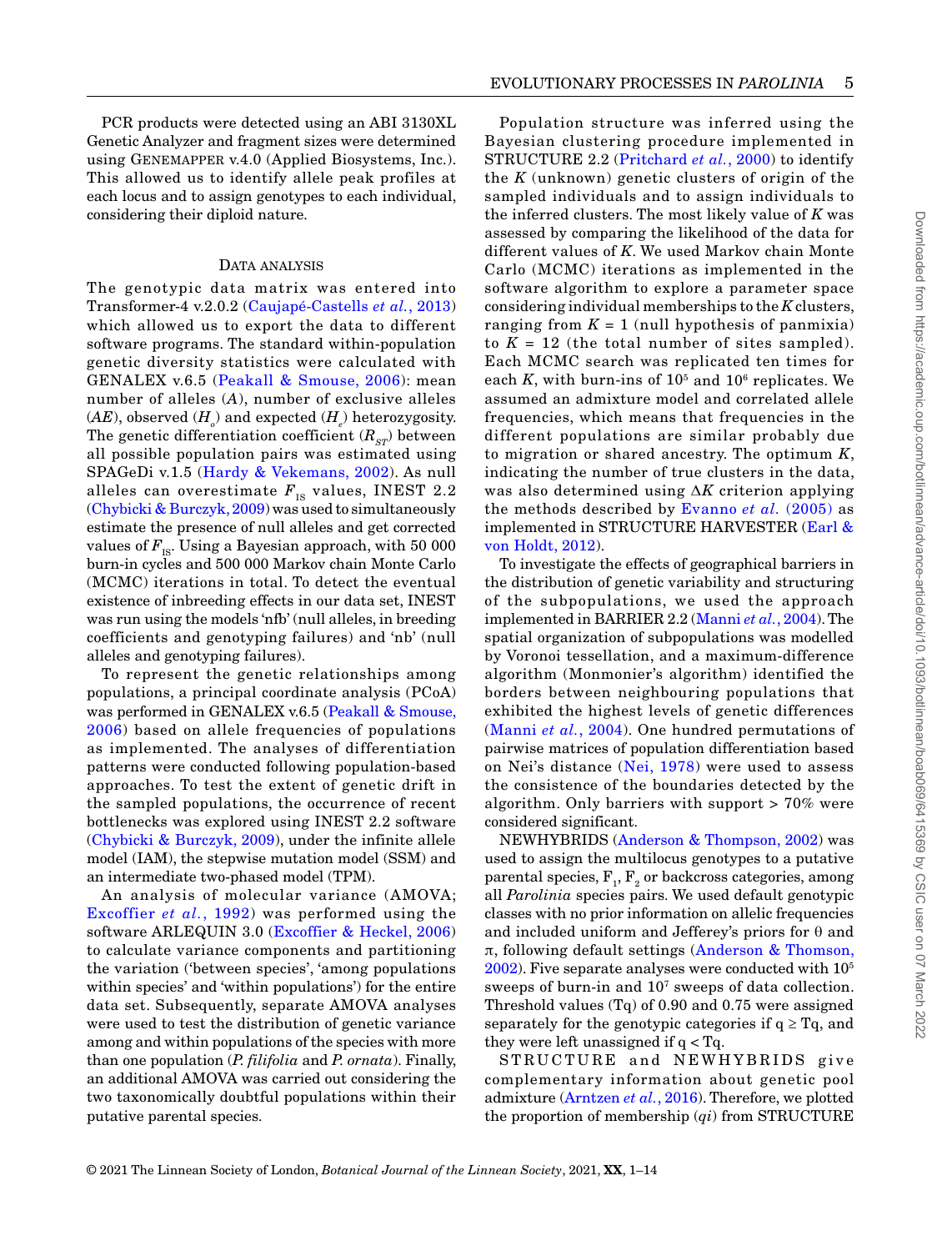PCR products were detected using an ABI 3130XL Genetic Analyzer and fragment sizes were determined using Genemapper v.4.0 (Applied Biosystems, Inc.). This allowed us to identify allele peak profiles at each locus and to assign genotypes to each individual, considering their diploid nature.

#### DATA ANALYSIS

The genotypic data matrix was entered into Transformer-4 v.2.0.2 (Caujapé-Castells *et al.*, 2013) which allowed us to export the data to different software programs. The standard within-population genetic diversity statistics were calculated with GENALEX v.6.5 (Peakall & Smouse, 2006): mean number of alleles (*A*), number of exclusive alleles  $(AE)$ , observed  $(H_{_{o}})$  and expected  $(H_{_{e}})$  heterozygosity. The genetic differentiation coefficient  $(R_{\varsigma r})$  between all possible population pairs was estimated using SPAGeDi v.1.5 (Hardy & Vekemans, 2002). As null alleles can overestimate  $F_{IS}$  values, INEST 2.2 (Chybicki & Burczyk, 2009) was used to simultaneously estimate the presence of null alleles and get corrected values of  $F_{\text{IS}}$ . Using a Bayesian approach, with 50 000 burn-in cycles and 500 000 Markov chain Monte Carlo (MCMC) iterations in total. To detect the eventual existence of inbreeding effects in our data set, INEST was run using the models 'nfb' (null alleles, in breeding coefficients and genotyping failures) and 'nb' (null alleles and genotyping failures).

To represent the genetic relationships among populations, a principal coordinate analysis (PCoA) was performed in GENALEX v.6.5 (Peakall & Smouse, 2006) based on allele frequencies of populations as implemented. The analyses of differentiation patterns were conducted following population-based approaches. To test the extent of genetic drift in the sampled populations, the occurrence of recent bottlenecks was explored using INEST 2.2 software (Chybicki & Burczyk, 2009), under the infinite allele model (IAM), the stepwise mutation model (SSM) and an intermediate two-phased model (TPM).

An analysis of molecular variance (AMOVA; Excoffier *et al.*, 1992) was performed using the software ARLEQUIN 3.0 (Excoffier & Heckel, 2006) to calculate variance components and partitioning the variation ('between species', 'among populations within species' and 'within populations') for the entire data set. Subsequently, separate AMOVA analyses were used to test the distribution of genetic variance among and within populations of the species with more than one population (*P. filifolia* and *P. ornata*). Finally, an additional AMOVA was carried out considering the two taxonomically doubtful populations within their putative parental species.

Population structure was inferred using the Bayesian clustering procedure implemented in STRUCTURE 2.2 (Pritchard *et al.*, 2000) to identify the *K* (unknown) genetic clusters of origin of the sampled individuals and to assign individuals to the inferred clusters. The most likely value of *K* was assessed by comparing the likelihood of the data for different values of *K*. We used Markov chain Monte Carlo (MCMC) iterations as implemented in the software algorithm to explore a parameter space considering individual memberships to the *K* clusters, ranging from  $K = 1$  (null hypothesis of panmixia) to  $K = 12$  (the total number of sites sampled). Each MCMC search was replicated ten times for each  $K$ , with burn-ins of  $10<sup>5</sup>$  and  $10<sup>6</sup>$  replicates. We assumed an admixture model and correlated allele frequencies, which means that frequencies in the different populations are similar probably due to migration or shared ancestry. The optimum *K*, indicating the number of true clusters in the data, was also determined using Δ*K* criterion applying the methods described by Evanno *et al.* (2005) as implemented in STRUCTURE HARVESTER (Earl & von Holdt, 2012).

To investigate the effects of geographical barriers in the distribution of genetic variability and structuring of the subpopulations, we used the approach implemented in BARRIER 2.2 (Manni *et al.*, 2004). The spatial organization of subpopulations was modelled by Voronoi tessellation, and a maximum-difference algorithm (Monmonier's algorithm) identified the borders between neighbouring populations that exhibited the highest levels of genetic differences (Manni *et al.*, 2004). One hundred permutations of pairwise matrices of population differentiation based on Nei's distance (Nei, 1978) were used to assess the consistence of the boundaries detected by the algorithm. Only barriers with support > 70% were considered significant.

NEWHYBRIDS (Anderson & Thompson, 2002) was used to assign the multilocus genotypes to a putative parental species,  $\text{F}_{\text{i}}, \text{F}_{\text{2}}$  or backcross categories, among all *Parolinia* species pairs. We used default genotypic classes with no prior information on allelic frequencies and included uniform and Jefferey's priors for  $\theta$  and π, following default settings (Anderson & Thomson, 2002). Five separate analyses were conducted with 105 sweeps of burn-in and 107 sweeps of data collection. Threshold values (Tq) of 0.90 and 0.75 were assigned separately for the genotypic categories if  $q \geq Tq$ , and they were left unassigned if q < Tq.

STRUCTURE and NEWHYBRIDS give complementary information about genetic pool admixture (Arntzen *et al.*, 2016). Therefore, we plotted the proportion of membership (*qi*) from STRUCTURE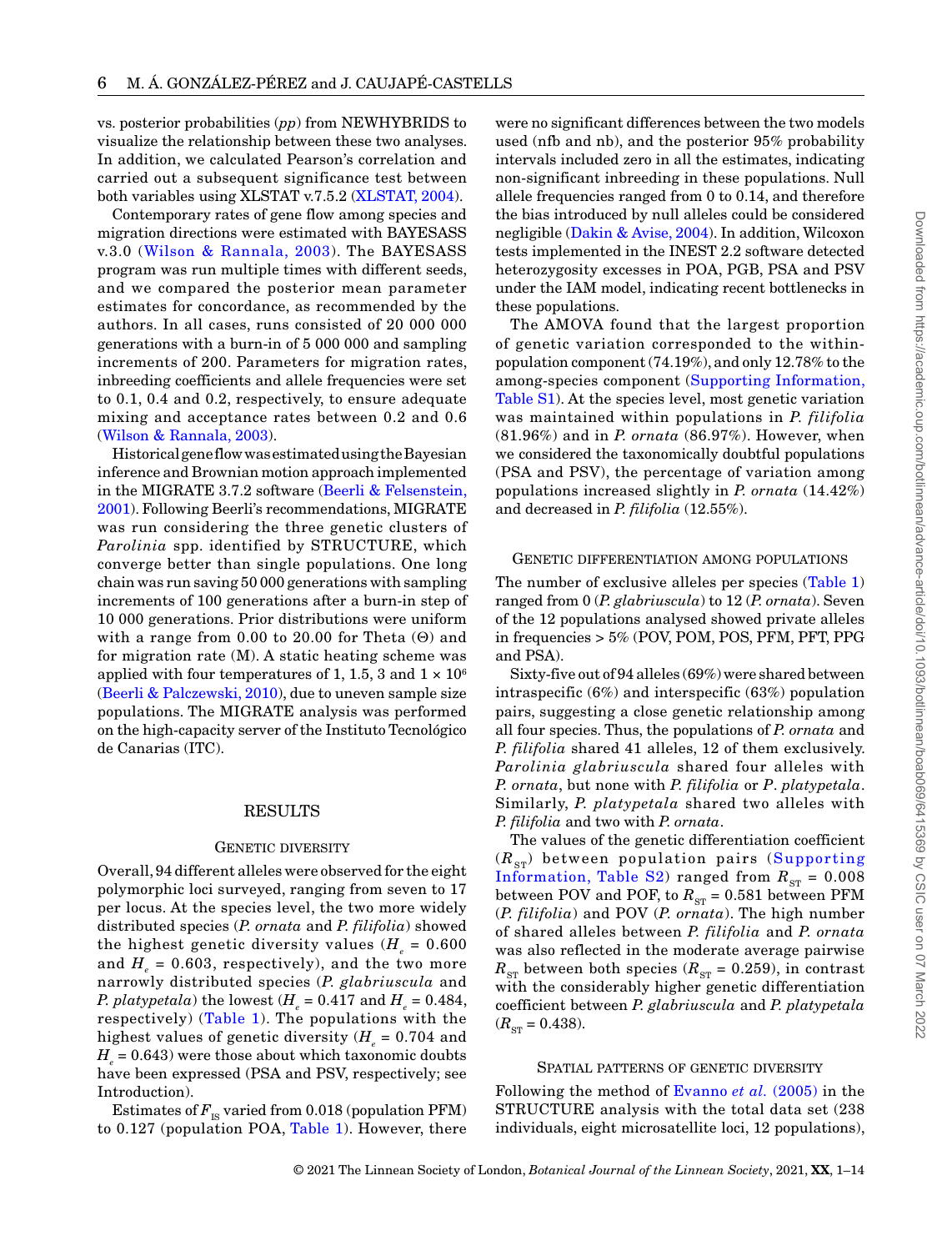vs. posterior probabilities (*pp*) from NEWHYBRIDS to visualize the relationship between these two analyses. In addition, we calculated Pearson's correlation and carried out a subsequent significance test between both variables using XLSTAT v.7.5.2 (XLSTAT, 2004).

Contemporary rates of gene flow among species and migration directions were estimated with BAYESASS v.3.0 (Wilson & Rannala, 2003). The BAYESASS program was run multiple times with different seeds, and we compared the posterior mean parameter estimates for concordance, as recommended by the authors. In all cases, runs consisted of 20 000 000 generations with a burn-in of 5 000 000 and sampling increments of 200. Parameters for migration rates, inbreeding coefficients and allele frequencies were set to 0.1, 0.4 and 0.2, respectively, to ensure adequate mixing and acceptance rates between 0.2 and 0.6 (Wilson & Rannala, 2003).

Historical gene flow was estimated using the Bayesian inference and Brownian motion approach implemented in the MIGRATE 3.7.2 software (Beerli & Felsenstein, 2001). Following Beerli's recommendations, MIGRATE was run considering the three genetic clusters of *Parolinia* spp. identified by STRUCTURE, which converge better than single populations. One long chain was run saving 50 000 generations with sampling increments of 100 generations after a burn-in step of 10 000 generations. Prior distributions were uniform with a range from 0.00 to 20.00 for Theta (Θ) and for migration rate (M). A static heating scheme was applied with four temperatures of 1, 1.5, 3 and  $1 \times 10^6$ (Beerli & Palczewski, 2010), due to uneven sample size populations. The MIGRATE analysis was performed on the high-capacity server of the Instituto Tecnológico de Canarias (ITC).

#### RESULTS

#### GENETIC DIVERSITY

Overall, 94 different alleles were observed for the eight polymorphic loci surveyed, ranging from seven to 17 per locus. At the species level, the two more widely distributed species (*P. ornata* and *P. filifolia*) showed the highest genetic diversity values  $(H_e = 0.600)$ and  $H<sub>e</sub> = 0.603$ , respectively), and the two more narrowly distributed species (*P. glabriuscula* and *P. platypetala*) the lowest ( $H_e = 0.417$  and  $H_e = 0.484$ , respectively) (Table 1). The populations with the highest values of genetic diversity  $(H_e = 0.704$  and  $H<sub>e</sub> = 0.643$  were those about which taxonomic doubts have been expressed (PSA and PSV, respectively; see Introduction).

Estimates of  $F_{\text{IS}}$  varied from 0.018 (population PFM) to 0.127 (population POA, Table 1). However, there

were no significant differences between the two models used (nfb and nb), and the posterior 95% probability intervals included zero in all the estimates, indicating non-significant inbreeding in these populations. Null allele frequencies ranged from 0 to 0.14, and therefore the bias introduced by null alleles could be considered negligible (Dakin & Avise, 2004). In addition, Wilcoxon tests implemented in the INEST 2.2 software detected heterozygosity excesses in POA, PGB, PSA and PSV under the IAM model, indicating recent bottlenecks in these populations.

The AMOVA found that the largest proportion of genetic variation corresponded to the withinpopulation component (74.19%), and only 12.78% to the among-species component (Supporting Information, Table S1). At the species level, most genetic variation was maintained within populations in *P. filifolia* (81.96%) and in *P. ornata* (86.97%). However, when we considered the taxonomically doubtful populations (PSA and PSV), the percentage of variation among populations increased slightly in *P. ornata* (14.42%) and decreased in *P. filifolia* (12.55%).

## Genetic differentiation among populations

The number of exclusive alleles per species (Table 1) ranged from 0 (*P. glabriuscula*) to 12 (*P. ornata*). Seven of the 12 populations analysed showed private alleles in frequencies > 5% (POV, POM, POS, PFM, PFT, PPG and PSA).

Sixty-five out of 94 alleles (69%) were shared between intraspecific (6%) and interspecific (63%) population pairs, suggesting a close genetic relationship among all four species. Thus, the populations of *P. ornata* and *P. filifolia* shared 41 alleles, 12 of them exclusively. *Parolinia glabriuscula* shared four alleles with *P. ornata*, but none with *P. filifolia* or *P*. *platypetala*. Similarly, *P. platypetala* shared two alleles with *P. filifolia* and two with *P. ornata*.

The values of the genetic differentiation coefficient  $(R_{ST})$  between population pairs (Supporting Information, Table S2) ranged from  $R_{ST} = 0.008$ between POV and POF, to  $R_{ST}$  = 0.581 between PFM (*P. filifolia*) and POV (*P. ornata*). The high number of shared alleles between *P. filifolia* and *P. ornata* was also reflected in the moderate average pairwise  $R_{ST}$  between both species ( $R_{ST}$  = 0.259), in contrast with the considerably higher genetic differentiation coefficient between *P. glabriuscula* and *P. platypetala*  $(R_{ST} = 0.438).$ 

## Spatial patterns of genetic diversity

Following the method of Evanno *et al.* (2005) in the STRUCTURE analysis with the total data set (238 individuals, eight microsatellite loci, 12 populations),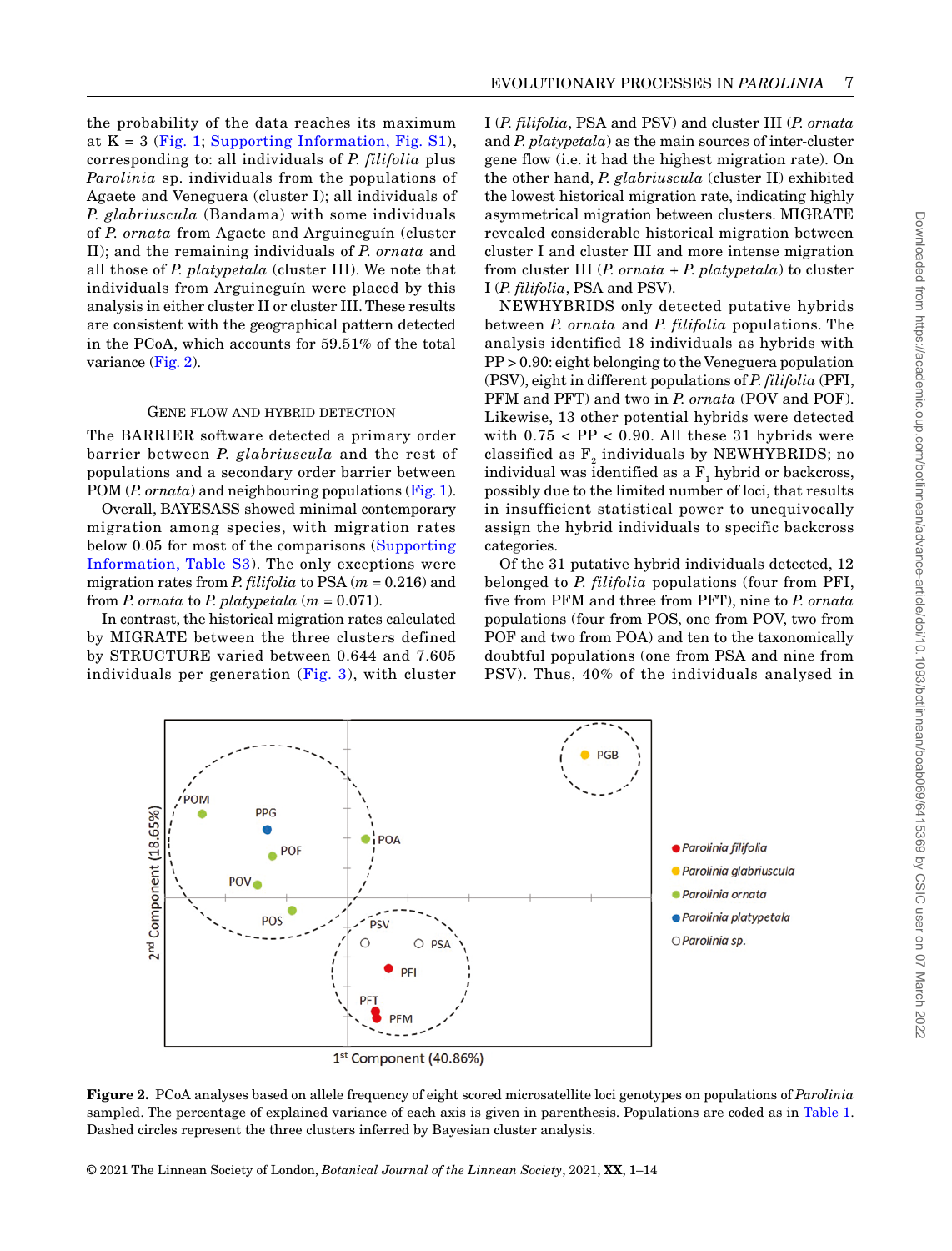the probability of the data reaches its maximum at  $K = 3$  (Fig. 1; Supporting Information, Fig. S1), corresponding to: all individuals of *P. filifolia* plus *Parolinia* sp. individuals from the populations of Agaete and Veneguera (cluster I); all individuals of *P. glabriuscula* (Bandama) with some individuals of *P. ornata* from Agaete and Arguineguín (cluster II); and the remaining individuals of *P. ornata* and all those of *P. platypetala* (cluster III). We note that individuals from Arguineguín were placed by this analysis in either cluster II or cluster III. These results are consistent with the geographical pattern detected in the PCoA, which accounts for 59.51% of the total variance (Fig. 2).

#### GENE FLOW AND HYBRID DETECTION

The BARRIER software detected a primary order barrier between *P. glabriuscula* and the rest of populations and a secondary order barrier between POM (*P. ornata*) and neighbouring populations (Fig. 1).

Overall, BAYESASS showed minimal contemporary migration among species, with migration rates below 0.05 for most of the comparisons (Supporting Information, Table S3). The only exceptions were migration rates from *P. filifolia* to PSA (*m* = 0.216) and from *P. ornata* to *P. platypetala*  $(m = 0.071)$ .

In contrast, the historical migration rates calculated by MIGRATE between the three clusters defined by STRUCTURE varied between 0.644 and 7.605 individuals per generation  $(Fig. 3)$ , with cluster I (*P. filifolia*, PSA and PSV) and cluster III (*P. ornata* and *P. platypetala*) as the main sources of inter-cluster gene flow (i.e. it had the highest migration rate). On the other hand, *P. glabriuscula* (cluster II) exhibited the lowest historical migration rate, indicating highly asymmetrical migration between clusters. MIGRATE revealed considerable historical migration between cluster I and cluster III and more intense migration from cluster III (*P. ornata* + *P. platypetala*) to cluster I (*P. filifolia*, PSA and PSV).

EVOLUTIONARY PROCESSES IN *PAROLINIA* 7

NEWHYBRIDS only detected putative hybrids between *P. ornata* and *P. filifolia* populations. The analysis identified 18 individuals as hybrids with PP > 0.90: eight belonging to the Veneguera population (PSV), eight in different populations of *P. filifolia* (PFI, PFM and PFT) and two in *P. ornata* (POV and POF). Likewise, 13 other potential hybrids were detected with  $0.75 < PP < 0.90$ . All these 31 hybrids were classified as  $F<sub>2</sub>$  individuals by NEWHYBRIDS; no individual was identified as a  $\text{F}_\text{i}$  hybrid or backcross, possibly due to the limited number of loci, that results in insufficient statistical power to unequivocally assign the hybrid individuals to specific backcross categories.

Of the 31 putative hybrid individuals detected, 12 belonged to *P. filifolia* populations (four from PFI, five from PFM and three from PFT), nine to *P. ornata* populations (four from POS, one from POV, two from POF and two from POA) and ten to the taxonomically doubtful populations (one from PSA and nine from PSV). Thus, 40% of the individuals analysed in



**Figure 2.** PCoA analyses based on allele frequency of eight scored microsatellite loci genotypes on populations of *Parolinia* sampled. The percentage of explained variance of each axis is given in parenthesis. Populations are coded as in Table 1. Dashed circles represent the three clusters inferred by Bayesian cluster analysis.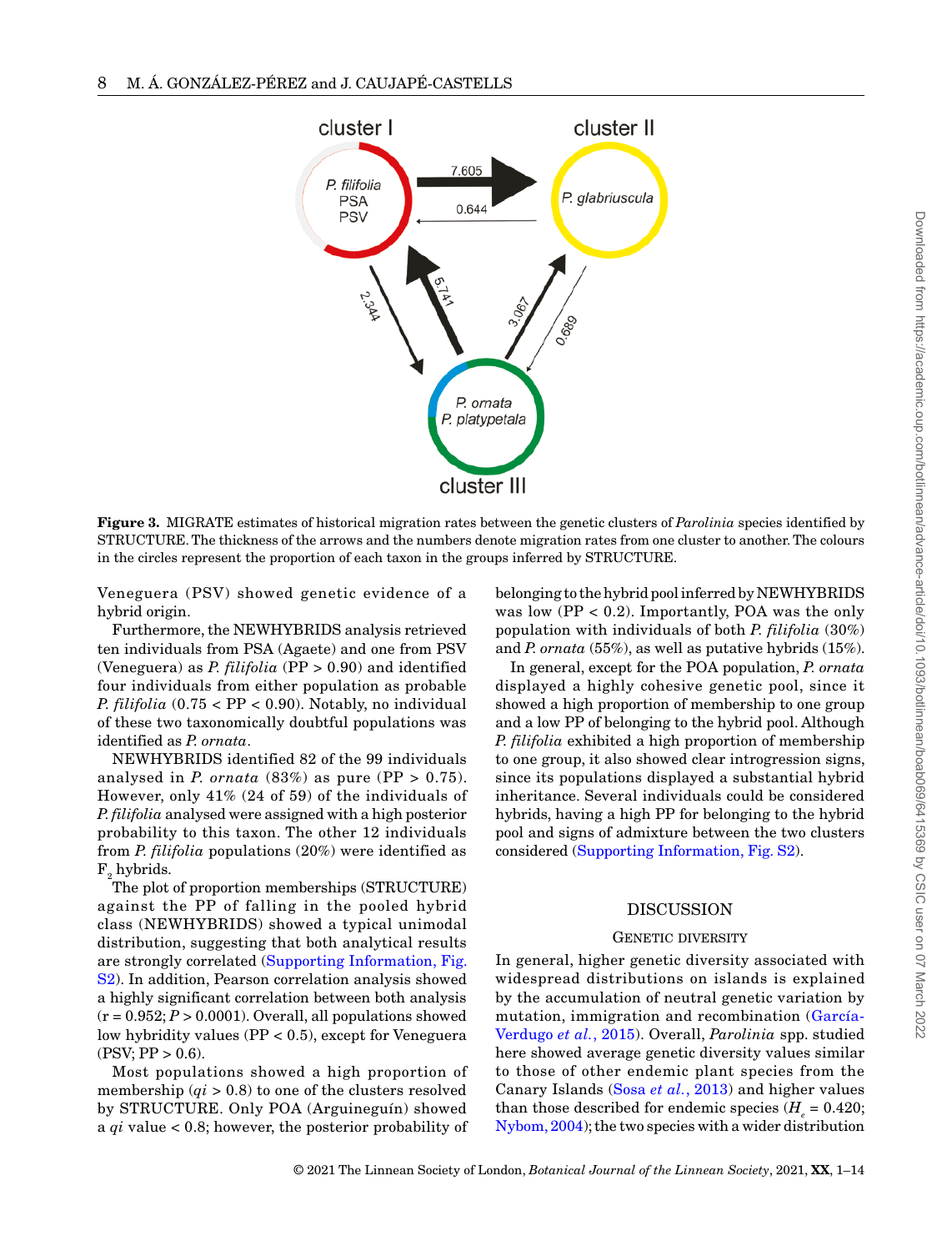

**Figure 3.** MIGRATE estimates of historical migration rates between the genetic clusters of *Parolinia* species identified by STRUCTURE. The thickness of the arrows and the numbers denote migration rates from one cluster to another. The colours in the circles represent the proportion of each taxon in the groups inferred by STRUCTURE.

Veneguera (PSV) showed genetic evidence of a hybrid origin.

Furthermore, the NEWHYBRIDS analysis retrieved ten individuals from PSA (Agaete) and one from PSV (Veneguera) as *P. filifolia* (PP > 0.90) and identified four individuals from either population as probable *P.*  $filifolia$  (0.75 <  $PP$  < 0.90). Notably, no individual of these two taxonomically doubtful populations was identified as *P. ornata*.

NEWHYBRIDS identified 82 of the 99 individuals analysed in *P. ornata*  $(83%)$  as pure  $(PP > 0.75)$ . However, only 41% (24 of 59) of the individuals of *P.filifolia* analysed were assigned with a high posterior probability to this taxon. The other 12 individuals from *P. filifolia* populations (20%) were identified as  $\mathrm{F}_\mathrm{2}$  hybrids.

The plot of proportion memberships (STRUCTURE) against the PP of falling in the pooled hybrid class (NEWHYBRIDS) showed a typical unimodal distribution, suggesting that both analytical results are strongly correlated (Supporting Information, Fig. S2). In addition, Pearson correlation analysis showed a highly significant correlation between both analysis  $(r = 0.952; P > 0.0001)$ . Overall, all populations showed low hybridity values (PP < 0.5), except for Veneguera  $(PSV; PP > 0.6)$ .

Most populations showed a high proportion of membership (*qi* > 0.8) to one of the clusters resolved by STRUCTURE. Only POA (Arguineguín) showed a *qi* value < 0.8; however, the posterior probability of belonging to the hybrid pool inferred by NEWHYBRIDS was low  $(PP < 0.2)$ . Importantly, POA was the only population with individuals of both *P. filifolia* (30%) and *P. ornata* (55%), as well as putative hybrids (15%).

In general, except for the POA population, *P. ornata* displayed a highly cohesive genetic pool, since it showed a high proportion of membership to one group and a low PP of belonging to the hybrid pool. Although *P. filifolia* exhibited a high proportion of membership to one group, it also showed clear introgression signs, since its populations displayed a substantial hybrid inheritance. Several individuals could be considered hybrids, having a high PP for belonging to the hybrid pool and signs of admixture between the two clusters considered (Supporting Information, Fig. S2).

# DISCUSSION

#### GENETIC DIVERSITY

In general, higher genetic diversity associated with widespread distributions on islands is explained by the accumulation of neutral genetic variation by mutation, immigration and recombination (García-Verdugo *et al.*, 2015). Overall, *Parolinia* spp. studied here showed average genetic diversity values similar to those of other endemic plant species from the Canary Islands (Sosa *et al.*, 2013) and higher values than those described for endemic species  $(H = 0.420)$ ; Nybom, 2004); the two species with a wider distribution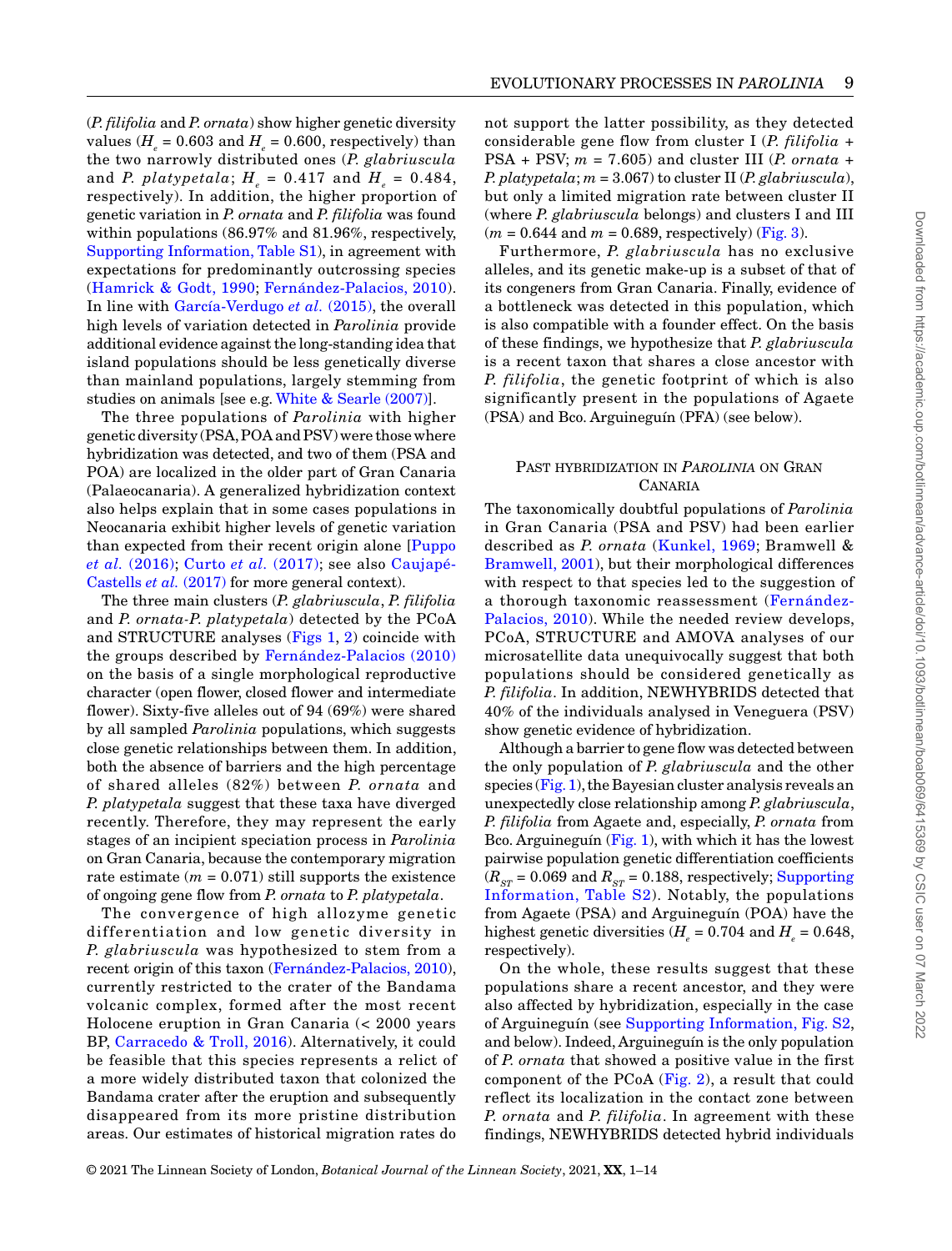(*P. filifolia* and *P. ornata*) show higher genetic diversity values  $(H_e = 0.603$  and  $H_e = 0.600$ , respectively) than the two narrowly distributed ones (*P. glabriuscula* and *P. platypetala*;  $H_e = 0.417$  and  $H_e = 0.484$ , respectively). In addition, the higher proportion of genetic variation in *P. ornata* and *P. filifolia* was found within populations (86.97% and 81.96%, respectively, Supporting Information, Table S1), in agreement with expectations for predominantly outcrossing species (Hamrick & Godt, 1990; Fernández-Palacios, 2010). In line with García-Verdugo *et al.* (2015), the overall high levels of variation detected in *Parolinia* provide additional evidence against the long-standing idea that island populations should be less genetically diverse than mainland populations, largely stemming from studies on animals [see e.g. White & Searle (2007)].

The three populations of *Parolinia* with higher genetic diversity (PSA, POA and PSV) were those where hybridization was detected, and two of them (PSA and POA) are localized in the older part of Gran Canaria (Palaeocanaria). A generalized hybridization context also helps explain that in some cases populations in Neocanaria exhibit higher levels of genetic variation than expected from their recent origin alone [Puppo *et al.* (2016); Curto *et al.* (2017); see also Caujapé-Castells *et al.* (2017) for more general context).

The three main clusters (*P. glabriuscula*, *P. filifolia* and *P. ornata-P. platypetala*) detected by the PCoA and STRUCTURE analyses (Figs 1, 2) coincide with the groups described by Fernández-Palacios (2010) on the basis of a single morphological reproductive character (open flower, closed flower and intermediate flower). Sixty-five alleles out of 94 (69%) were shared by all sampled *Parolinia* populations, which suggests close genetic relationships between them. In addition, both the absence of barriers and the high percentage of shared alleles (82%) between *P. ornata* and *P. platypetala* suggest that these taxa have diverged recently. Therefore, they may represent the early stages of an incipient speciation process in *Parolinia* on Gran Canaria, because the contemporary migration rate estimate  $(m = 0.071)$  still supports the existence of ongoing gene flow from *P. ornata* to *P. platypetala*.

The convergence of high allozyme genetic differentiation and low genetic diversity in *P. glabriuscula* was hypothesized to stem from a recent origin of this taxon (Fernández-Palacios, 2010), currently restricted to the crater of the Bandama volcanic complex, formed after the most recent Holocene eruption in Gran Canaria (< 2000 years BP, Carracedo & Troll, 2016). Alternatively, it could be feasible that this species represents a relict of a more widely distributed taxon that colonized the Bandama crater after the eruption and subsequently disappeared from its more pristine distribution areas. Our estimates of historical migration rates do

not support the latter possibility, as they detected considerable gene flow from cluster I (*P. filifolia* + PSA + PSV;  $m = 7.605$ ) and cluster III (*P. ornata* + *P. platypetala*; *m* = 3.067) to cluster II (*P. glabriuscula*), but only a limited migration rate between cluster II (where *P. glabriuscula* belongs) and clusters I and III  $(m = 0.644$  and  $m = 0.689$ , respectively) (Fig. 3).

Furthermore, *P. glabriuscula* has no exclusive alleles, and its genetic make-up is a subset of that of its congeners from Gran Canaria. Finally, evidence of a bottleneck was detected in this population, which is also compatible with a founder effect. On the basis of these findings, we hypothesize that *P. glabriuscula* is a recent taxon that shares a close ancestor with *P. filifolia*, the genetic footprint of which is also significantly present in the populations of Agaete (PSA) and Bco. Arguineguín (PFA) (see below).

# Past hybridization in *Parolinia* on Gran **CANARIA**

The taxonomically doubtful populations of *Parolinia* in Gran Canaria (PSA and PSV) had been earlier described as *P. ornata* (Kunkel, 1969; Bramwell & Bramwell, 2001), but their morphological differences with respect to that species led to the suggestion of a thorough taxonomic reassessment (Fernández-Palacios, 2010). While the needed review develops, PCoA, STRUCTURE and AMOVA analyses of our microsatellite data unequivocally suggest that both populations should be considered genetically as *P. filifolia*. In addition, NEWHYBRIDS detected that 40% of the individuals analysed in Veneguera (PSV) show genetic evidence of hybridization.

Although a barrier to gene flow was detected between the only population of *P. glabriuscula* and the other species (Fig. 1), the Bayesian cluster analysis reveals an unexpectedly close relationship among *P. glabriuscula*, *P. filifolia* from Agaete and, especially, *P. ornata* from Bco. Arguineguín (Fig. 1), with which it has the lowest pairwise population genetic differentiation coefficients  $(R_{ST} = 0.069$  and  $R_{ST} = 0.188$ , respectively; Supporting Information, Table S2). Notably, the populations from Agaete (PSA) and Arguineguín (POA) have the highest genetic diversities  $(H = 0.704$  and  $H = 0.648$ , respectively).

On the whole, these results suggest that these populations share a recent ancestor, and they were also affected by hybridization, especially in the case of Arguineguín (see Supporting Information, Fig. S2, and below). Indeed, Arguineguín is the only population of *P. ornata* that showed a positive value in the first component of the PCoA (Fig. 2), a result that could reflect its localization in the contact zone between *P. ornata* and *P. filifolia*. In agreement with these findings, NEWHYBRIDS detected hybrid individuals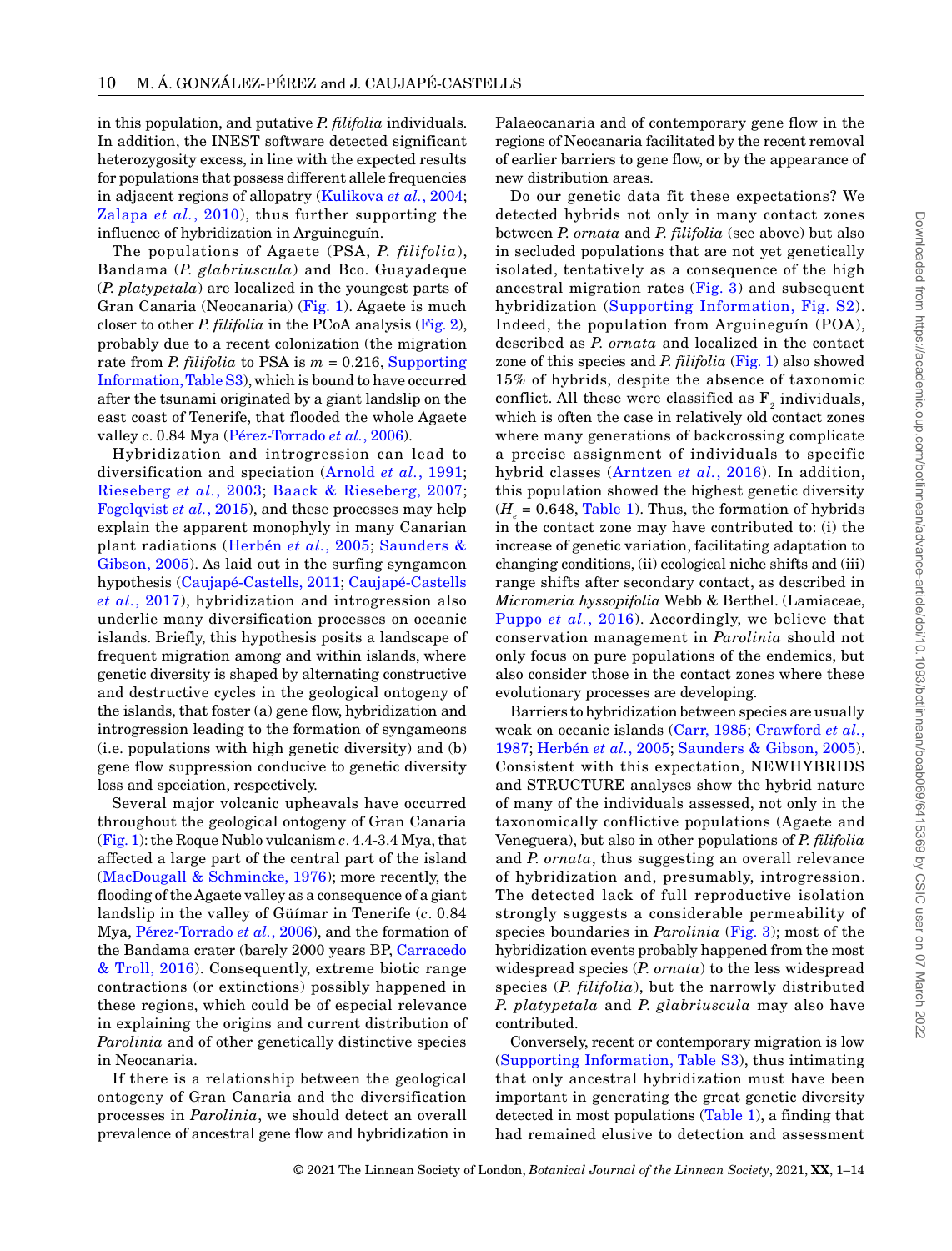in this population, and putative *P. filifolia* individuals. In addition, the INEST software detected significant heterozygosity excess, in line with the expected results for populations that possess different allele frequencies in adjacent regions of allopatry (Kulikova *et al.*, 2004; Zalapa *et al.*, 2010), thus further supporting the influence of hybridization in Arguineguín.

The populations of Agaete (PSA, *P. filifolia*), Bandama (*P. glabriuscula*) and Bco. Guayadeque (*P. platypetala*) are localized in the youngest parts of Gran Canaria (Neocanaria) (Fig. 1). Agaete is much closer to other *P. filifolia* in the PCoA analysis (Fig. 2), probably due to a recent colonization (the migration rate from *P. filifolia* to PSA is  $m = 0.216$ , Supporting Information, Table S3), which is bound to have occurred after the tsunami originated by a giant landslip on the east coast of Tenerife, that flooded the whole Agaete valley *c*. 0.84 Mya (Pérez-Torrado *et al.*, 2006).

Hybridization and introgression can lead to diversification and speciation (Arnold *et al.*, 1991; Rieseberg *et al.*, 2003; Baack & Rieseberg, 2007; Fogelqvist *et al.*, 2015), and these processes may help explain the apparent monophyly in many Canarian plant radiations (Herbén *et al.*, 2005; Saunders & Gibson, 2005). As laid out in the surfing syngameon hypothesis (Caujapé-Castells, 2011; Caujapé-Castells *et al.*, 2017), hybridization and introgression also underlie many diversification processes on oceanic islands. Briefly, this hypothesis posits a landscape of frequent migration among and within islands, where genetic diversity is shaped by alternating constructive and destructive cycles in the geological ontogeny of the islands, that foster (a) gene flow, hybridization and introgression leading to the formation of syngameons (i.e. populations with high genetic diversity) and (b) gene flow suppression conducive to genetic diversity loss and speciation, respectively.

Several major volcanic upheavals have occurred throughout the geological ontogeny of Gran Canaria (Fig. 1): the Roque Nublo vulcanism *c*. 4.4-3.4 Mya, that affected a large part of the central part of the island (MacDougall & Schmincke, 1976); more recently, the flooding of the Agaete valley as a consequence of a giant landslip in the valley of Güímar in Tenerife (*c*. 0.84 Mya, Pérez-Torrado *et al.*, 2006), and the formation of the Bandama crater (barely 2000 years BP, Carracedo & Troll, 2016). Consequently, extreme biotic range contractions (or extinctions) possibly happened in these regions, which could be of especial relevance in explaining the origins and current distribution of *Parolinia* and of other genetically distinctive species in Neocanaria.

If there is a relationship between the geological ontogeny of Gran Canaria and the diversification processes in *Parolinia*, we should detect an overall prevalence of ancestral gene flow and hybridization in Palaeocanaria and of contemporary gene flow in the regions of Neocanaria facilitated by the recent removal of earlier barriers to gene flow, or by the appearance of new distribution areas.

Do our genetic data fit these expectations? We detected hybrids not only in many contact zones between *P. ornata* and *P. filifolia* (see above) but also in secluded populations that are not yet genetically isolated, tentatively as a consequence of the high ancestral migration rates (Fig. 3) and subsequent hybridization (Supporting Information, Fig. S2). Indeed, the population from Arguineguín (POA), described as *P. ornata* and localized in the contact zone of this species and *P. filifolia* (Fig. 1) also showed 15% of hybrids, despite the absence of taxonomic conflict. All these were classified as  $F<sub>2</sub>$  individuals, which is often the case in relatively old contact zones where many generations of backcrossing complicate a precise assignment of individuals to specific hybrid classes (Arntzen *et al.*, 2016). In addition, this population showed the highest genetic diversity  $(H = 0.648,$  Table 1). Thus, the formation of hybrids in the contact zone may have contributed to: (i) the increase of genetic variation, facilitating adaptation to changing conditions, (ii) ecological niche shifts and (iii) range shifts after secondary contact, as described in *Micromeria hyssopifolia* Webb & Berthel. (Lamiaceae, Puppo *et al.*, 2016). Accordingly, we believe that conservation management in *Parolinia* should not only focus on pure populations of the endemics, but also consider those in the contact zones where these evolutionary processes are developing.

Barriers to hybridization between species are usually weak on oceanic islands (Carr, 1985; Crawford *et al.*, 1987; Herbén *et al.*, 2005; Saunders & Gibson, 2005). Consistent with this expectation, NEWHYBRIDS and STRUCTURE analyses show the hybrid nature of many of the individuals assessed, not only in the taxonomically conflictive populations (Agaete and Veneguera), but also in other populations of *P. filifolia* and *P. ornata*, thus suggesting an overall relevance of hybridization and, presumably, introgression. The detected lack of full reproductive isolation strongly suggests a considerable permeability of species boundaries in *Parolinia* (Fig. 3); most of the hybridization events probably happened from the most widespread species (*P. ornata*) to the less widespread species (*P. filifolia*), but the narrowly distributed *P. platypetala* and *P. glabriuscula* may also have contributed.

Conversely, recent or contemporary migration is low (Supporting Information, Table S3), thus intimating that only ancestral hybridization must have been important in generating the great genetic diversity detected in most populations (Table 1), a finding that had remained elusive to detection and assessment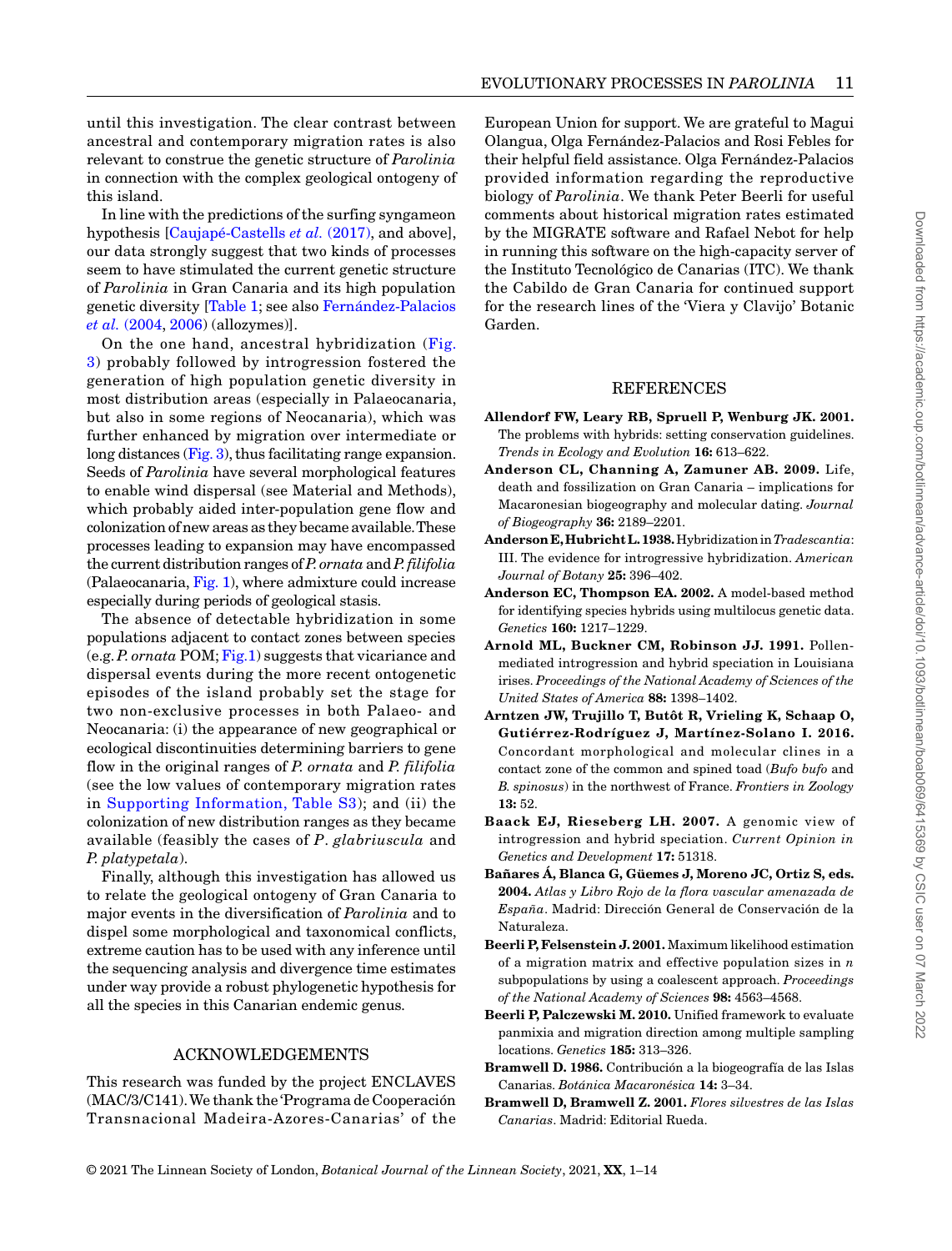until this investigation. The clear contrast between ancestral and contemporary migration rates is also relevant to construe the genetic structure of *Parolinia* in connection with the complex geological ontogeny of this island.

In line with the predictions of the surfing syngameon hypothesis [Caujapé-Castells *et al.* (2017), and above], our data strongly suggest that two kinds of processes seem to have stimulated the current genetic structure of *Parolinia* in Gran Canaria and its high population genetic diversity [Table 1; see also Fernández-Palacios *et al.* (2004, 2006) (allozymes)].

On the one hand, ancestral hybridization (Fig. 3) probably followed by introgression fostered the generation of high population genetic diversity in most distribution areas (especially in Palaeocanaria, but also in some regions of Neocanaria), which was further enhanced by migration over intermediate or long distances (Fig. 3), thus facilitating range expansion. Seeds of *Parolinia* have several morphological features to enable wind dispersal (see Material and Methods), which probably aided inter-population gene flow and colonization of new areas as they became available. These processes leading to expansion may have encompassed the current distribution ranges of *P. ornata* and *P.filifolia* (Palaeocanaria, Fig. 1), where admixture could increase especially during periods of geological stasis.

The absence of detectable hybridization in some populations adjacent to contact zones between species (e.g. *P. ornata* POM; Fig.1) suggests that vicariance and dispersal events during the more recent ontogenetic episodes of the island probably set the stage for two non-exclusive processes in both Palaeo- and Neocanaria: (i) the appearance of new geographical or ecological discontinuities determining barriers to gene flow in the original ranges of *P. ornata* and *P. filifolia* (see the low values of contemporary migration rates in Supporting Information, Table S3); and (ii) the colonization of new distribution ranges as they became available (feasibly the cases of *P*. *glabriuscula* and *P. platypetala*).

Finally, although this investigation has allowed us to relate the geological ontogeny of Gran Canaria to major events in the diversification of *Parolinia* and to dispel some morphological and taxonomical conflicts, extreme caution has to be used with any inference until the sequencing analysis and divergence time estimates under way provide a robust phylogenetic hypothesis for all the species in this Canarian endemic genus.

## ACKNOWLEDGEMENTS

This research was funded by the project ENCLAVES (MAC/3/C141). We thank the 'Programa de Cooperación Transnacional Madeira-Azores-Canarias' of the European Union for support. We are grateful to Magui Olangua, Olga Fernández-Palacios and Rosi Febles for their helpful field assistance. Olga Fernández-Palacios provided information regarding the reproductive biology of *Parolinia*. We thank Peter Beerli for useful comments about historical migration rates estimated by the MIGRATE software and Rafael Nebot for help in running this software on the high-capacity server of the Instituto Tecnológico de Canarias (ITC). We thank the Cabildo de Gran Canaria for continued support for the research lines of the 'Viera y Clavijo' Botanic Garden.

## **REFERENCES**

- **Allendorf FW, Leary RB, Spruell P, Wenburg JK. 2001.**  The problems with hybrids: setting conservation guidelines. *Trends in Ecology and Evolution* **16:** 613–622.
- **Anderson CL, Channing A, Zamuner AB. 2009.** Life, death and fossilization on Gran Canaria – implications for Macaronesian biogeography and molecular dating. *Journal of Biogeography* **36:** 2189–2201.
- **AndersonE, HubrichtL. 1938.** Hybridization in *Tradescantia*: III. The evidence for introgressive hybridization. *American Journal of Botany* **25:** 396–402.
- **Anderson EC, Thompson EA. 2002.** A model-based method for identifying species hybrids using multilocus genetic data. *Genetics* **160:** 1217–1229.
- **Arnold ML, Buckner CM, Robinson JJ. 1991.** Pollenmediated introgression and hybrid speciation in Louisiana irises. *Proceedings of the National Academy of Sciences of the United States of America* **88:** 1398–1402.
- **Arntzen JW, Trujillo T, Butôt R, Vrieling K, Schaap O, Gutiérrez-Rodríguez J, Martínez-Solano I. 2016.**  Concordant morphological and molecular clines in a contact zone of the common and spined toad (*Bufo bufo* and *B. spinosus*) in the northwest of France. *Frontiers in Zoology* **13:** 52.
- **Baack EJ, Rieseberg LH. 2007.** A genomic view of introgression and hybrid speciation. *Current Opinion in Genetics and Development* **17:** 51318.
- **Bañares Á, Blanca G, Güemes J, Moreno JC, Ortiz S, eds. 2004.** *Atlas y Libro Rojo de la flora vascular amenazada de España*. Madrid: Dirección General de Conservación de la Naturaleza.
- **Beerli P, Felsenstein J. 2001.** Maximum likelihood estimation of a migration matrix and effective population sizes in *n* subpopulations by using a coalescent approach. *Proceedings of the National Academy of Sciences* **98:** 4563–4568.
- **Beerli P, Palczewski M. 2010.** Unified framework to evaluate panmixia and migration direction among multiple sampling locations. *Genetics* **185:** 313–326.
- **Bramwell D. 1986.** Contribución a la biogeografía de las Islas Canarias. *Botánica Macaronésica* **14:** 3–34.
- **Bramwell D, Bramwell Z. 2001.** *Flores silvestres de las Islas Canarias*. Madrid: Editorial Rueda.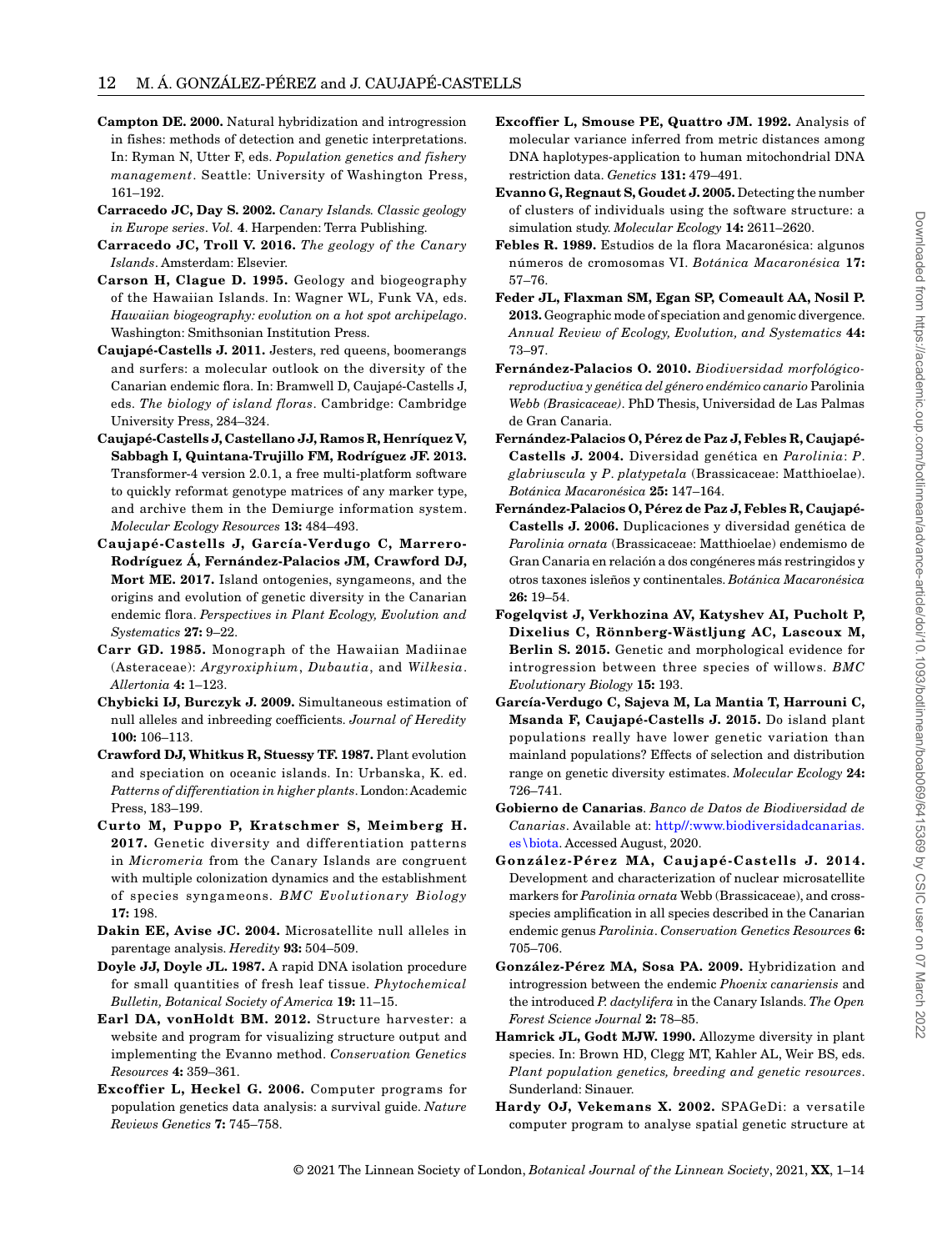- **Campton DE. 2000.** Natural hybridization and introgression in fishes: methods of detection and genetic interpretations. In: Ryman N, Utter F, eds. *Population genetics and fishery management*. Seattle: University of Washington Press, 161–192.
- **Carracedo JC, Day S. 2002.** *Canary Islands. Classic geology in Europe series*. *Vol.* **4**. Harpenden: Terra Publishing.
- **Carracedo JC, Troll V. 2016.** *The geology of the Canary Islands*. Amsterdam: Elsevier.
- **Carson H, Clague D. 1995.** Geology and biogeography of the Hawaiian Islands. In: Wagner WL, Funk VA, eds. *Hawaiian biogeography: evolution on a hot spot archipelago*. Washington: Smithsonian Institution Press.
- **Caujapé-Castells J. 2011.** Jesters, red queens, boomerangs and surfers: a molecular outlook on the diversity of the Canarian endemic flora. In: Bramwell D, Caujapé-Castells J, eds. *The biology of island floras*. Cambridge: Cambridge University Press, 284–324.
- **Caujapé-Castells J, Castellano JJ, Ramos R, Henríquez V, Sabbagh I, Quintana-Trujillo FM, Rodríguez JF. 2013.**  Transformer-4 version 2.0.1, a free multi-platform software to quickly reformat genotype matrices of any marker type, and archive them in the Demiurge information system. *Molecular Ecology Resources* **13:** 484–493.
- **Caujapé-Castells J, García-Verdugo C, Marrero-Rodríguez Á, Fernández-Palacios JM, Crawford DJ, Mort ME. 2017.** Island ontogenies, syngameons, and the origins and evolution of genetic diversity in the Canarian endemic flora. *Perspectives in Plant Ecology, Evolution and Systematics* **27:** 9–22.
- **Carr GD. 1985.** Monograph of the Hawaiian Madiinae (Asteraceae): *Argyroxiphium*, *Dubautia*, and *Wilkesia*. *Allertonia* **4:** 1–123.
- **Chybicki IJ, Burczyk J. 2009.** Simultaneous estimation of null alleles and inbreeding coefficients. *Journal of Heredity* **100:** 106–113.
- **Crawford DJ, Whitkus R, Stuessy TF. 1987.** Plant evolution and speciation on oceanic islands. In: Urbanska, K. ed. *Patterns of differentiation in higher plants*. London: Academic Press, 183–199.
- **Curto M, Puppo P, Kratschmer S, Meimberg H. 2017.** Genetic diversity and differentiation patterns in *Micromeria* from the Canary Islands are congruent with multiple colonization dynamics and the establishment of species syngameons. *BMC Evolutionary Biology* **17:** 198.
- **Dakin EE, Avise JC. 2004.** Microsatellite null alleles in parentage analysis. *Heredity* **93:** 504–509.
- **Doyle JJ, Doyle JL. 1987.** A rapid DNA isolation procedure for small quantities of fresh leaf tissue. *Phytochemical Bulletin, Botanical Society of America* **19:** 11–15.
- **Earl DA, vonHoldt BM. 2012.** Structure harvester: a website and program for visualizing structure output and implementing the Evanno method. *Conservation Genetics Resources* **4:** 359–361.
- **Excoffier L, Heckel G. 2006.** Computer programs for population genetics data analysis: a survival guide. *Nature Reviews Genetics* **7:** 745–758.
- **Excoffier L, Smouse PE, Quattro JM. 1992.** Analysis of molecular variance inferred from metric distances among DNA haplotypes-application to human mitochondrial DNA restriction data. *Genetics* **131:** 479–491.
- **Evanno G, Regnaut S, Goudet J. 2005.** Detecting the number of clusters of individuals using the software structure: a simulation study. *Molecular Ecology* **14:** 2611–2620.
- **Febles R. 1989.** Estudios de la flora Macaronésica: algunos números de cromosomas VI. *Botánica Macaronésica* **17:**  57–76.
- **Feder JL, Flaxman SM, Egan SP, Comeault AA, Nosil P. 2013.** Geographic mode of speciation and genomic divergence. *Annual Review of Ecology, Evolution, and Systematics* **44:**  73–97.
- **Fernández-Palacios O. 2010.** *Biodiversidad morfológicoreproductiva y genética del género endémico canario* Parolinia *Webb (Brasicaceae)*. PhD Thesis, Universidad de Las Palmas de Gran Canaria.
- **Fernández-Palacios O, Pérez de Paz J, Febles R, Caujapé-Castells J. 2004.** Diversidad genética en *Parolinia*: *P*. *glabriuscula* y *P*. *platypetala* (Brassicaceae: Matthioelae). *Botánica Macaronésica* **25:** 147–164.
- **Fernández-Palacios O, Pérez de Paz J, Febles R, Caujapé-Castells J. 2006.** Duplicaciones y diversidad genética de *Parolinia ornata* (Brassicaceae: Matthioelae) endemismo de Gran Canaria en relación a dos congéneres más restringidos y otros taxones isleños y continentales. *Botánica Macaronésica* **26:** 19–54.
- **Fogelqvist J, Verkhozina AV, Katyshev AI, Pucholt P, Dixelius C, Rönnberg-Wästljung AC, Lascoux M, Berlin S. 2015.** Genetic and morphological evidence for introgression between three species of willows. *BMC Evolutionary Biology* **15:** 193.
- **García-Verdugo C, Sajeva M, La Mantia T, Harrouni C, Msanda F, Caujapé-Castells J. 2015.** Do island plant populations really have lower genetic variation than mainland populations? Effects of selection and distribution range on genetic diversity estimates. *Molecular Ecology* **24:**  726–741.
- **Gobierno de Canarias**. *Banco de Datos de Biodiversidad de Canarias*. Available at: http//:www.biodiversidadcanarias. es\biota. Accessed August, 2020.
- **González-Pérez MA, Caujapé-Castells J. 2014.**  Development and characterization of nuclear microsatellite markers for *Parolinia ornata* Webb (Brassicaceae), and crossspecies amplification in all species described in the Canarian endemic genus *Parolinia*. *Conservation Genetics Resources* **6:**  705–706.
- **González-Pérez MA, Sosa PA. 2009.** Hybridization and introgression between the endemic *Phoenix canariensis* and the introduced *P. dactylifera* in the Canary Islands. *The Open Forest Science Journal* **2:** 78–85.
- **Hamrick JL, Godt MJW. 1990.** Allozyme diversity in plant species. In: Brown HD, Clegg MT, Kahler AL, Weir BS, eds. *Plant population genetics, breeding and genetic resources*. Sunderland: Sinauer.
- **Hardy OJ, Vekemans X. 2002.** SPAGeDi: a versatile computer program to analyse spatial genetic structure at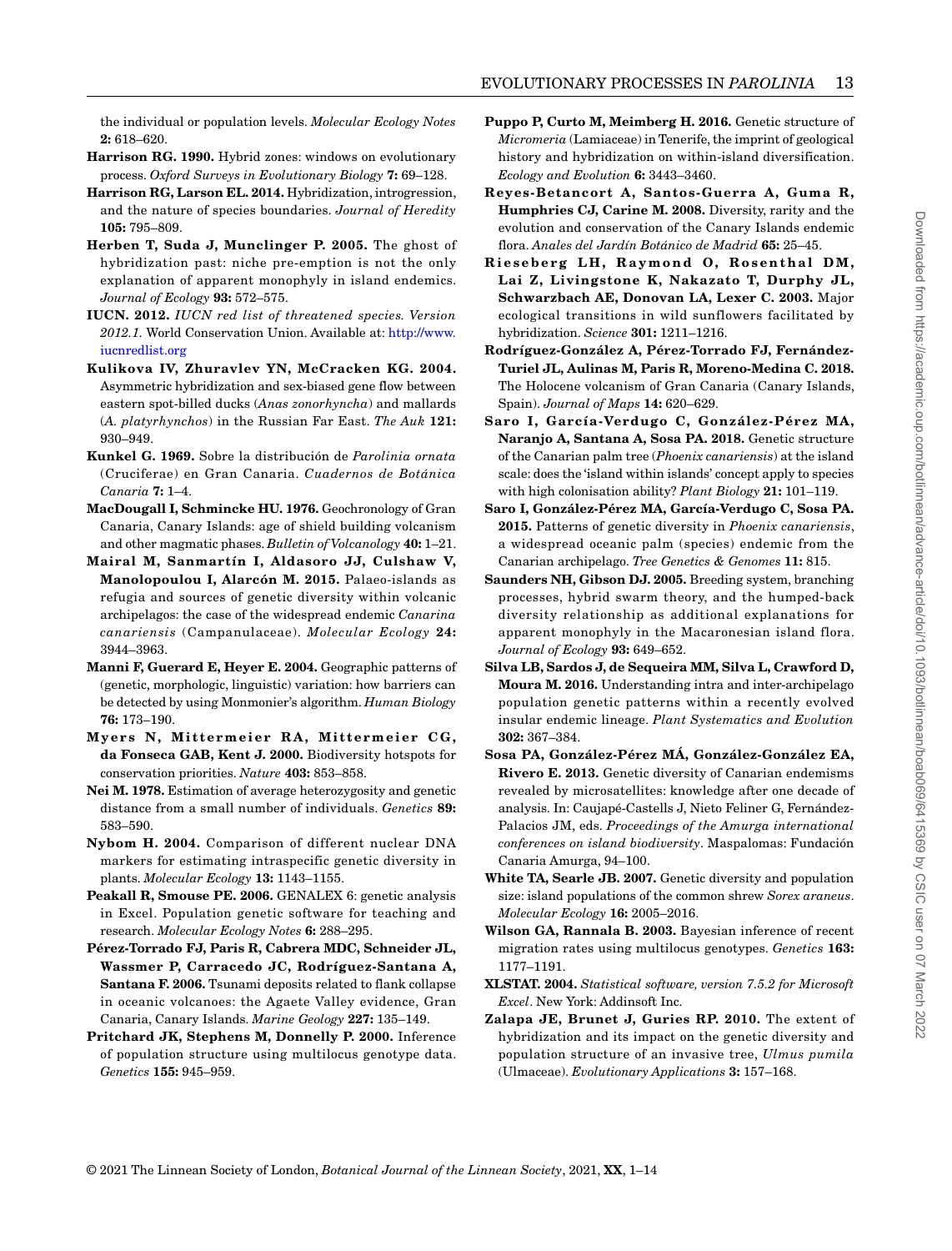the individual or population levels. *Molecular Ecology Notes* **2:** 618–620.

- **Harrison RG. 1990.** Hybrid zones: windows on evolutionary process. *Oxford Surveys in Evolutionary Biology* **7:** 69–128.
- **Harrison RG, Larson EL. 2014.** Hybridization, introgression, and the nature of species boundaries. *Journal of Heredity*  **105:** 795–809.
- **Herben T, Suda J, Munclinger P. 2005.** The ghost of hybridization past: niche pre-emption is not the only explanation of apparent monophyly in island endemics. *Journal of Ecology* **93:** 572–575.
- **IUCN. 2012.** *IUCN red list of threatened species. Version 2012.1.* World Conservation Union. Available at: http://www. iucnredlist.org
- **Kulikova IV, Zhuravlev YN, McCracken KG. 2004.**  Asymmetric hybridization and sex-biased gene flow between eastern spot-billed ducks (*Anas zonorhyncha*) and mallards (*A. platyrhynchos*) in the Russian Far East. *The Auk* **121:**  930–949.
- **Kunkel G. 1969.** Sobre la distribución de *Parolinia ornata* (Cruciferae) en Gran Canaria. *Cuadernos de Botánica Canaria* **7:** 1–4.
- **MacDougall I, Schmincke HU. 1976.** Geochronology of Gran Canaria, Canary Islands: age of shield building volcanism and other magmatic phases. *Bulletin of Volcanology* **40:** 1–21.
- **Mairal M, Sanmartín I, Aldasoro JJ, Culshaw V, Manolopoulou I, Alarcón M. 2015.** Palaeo-islands as refugia and sources of genetic diversity within volcanic archipelagos: the case of the widespread endemic *Canarina canariensis* (Campanulaceae). *Molecular Ecology* **24:**  3944–3963.
- **Manni F, Guerard E, Heyer E. 2004.** Geographic patterns of (genetic, morphologic, linguistic) variation: how barriers can be detected by using Monmonier's algorithm. *Human Biology* **76:** 173–190.
- **Myers N, Mittermeier RA, Mittermeier C G , da Fonseca GAB, Kent J. 2000.** Biodiversity hotspots for conservation priorities. *Nature* **403:** 853–858.
- **Nei M. 1978.** Estimation of average heterozygosity and genetic distance from a small number of individuals. *Genetics* **89:**  583–590.
- **Nybom H. 2004.** Comparison of different nuclear DNA markers for estimating intraspecific genetic diversity in plants. *Molecular Ecology* **13:** 1143–1155.
- **Peakall R, Smouse PE. 2006.** GENALEX 6: genetic analysis in Excel. Population genetic software for teaching and research. *Molecular Ecology Notes* **6:** 288–295.
- **Pérez-Torrado FJ, Paris R, Cabrera MDC, Schneider JL, Wassmer P, Carracedo JC, Rodríguez-Santana A, Santana F. 2006.** Tsunami deposits related to flank collapse in oceanic volcanoes: the Agaete Valley evidence, Gran Canaria, Canary Islands. *Marine Geology* **227:** 135–149.
- **Pritchard JK, Stephens M, Donnelly P. 2000.** Inference of population structure using multilocus genotype data. *Genetics* **155:** 945–959.
- **Puppo P, Curto M, Meimberg H. 2016.** Genetic structure of *Micromeria* (Lamiaceae) in Tenerife, the imprint of geological history and hybridization on within-island diversification. *Ecology and Evolution* **6:** 3443–3460.
- **Reyes-Betancort A, Santos-Guerra A, Guma R, Humphries CJ, Carine M. 2008.** Diversity, rarity and the evolution and conservation of the Canary Islands endemic flora. *Anales del Jardín Botánico de Madrid* **65:** 25–45.
- **Rieseberg LH, Raymond O, Rosenthal DM, Lai Z, Livingstone K, Nakazato T, Durphy JL, Schwarzbach AE, Donovan LA, Lexer C. 2003.** Major ecological transitions in wild sunflowers facilitated by hybridization. *Science* **301:** 1211–1216.
- **Rodríguez-González A, Pérez-Torrado FJ, Fernández-Turiel JL, Aulinas M, Paris R, Moreno-Medina C. 2018.**  The Holocene volcanism of Gran Canaria (Canary Islands, Spain). *Journal of Maps* **14:** 620–629.
- **Saro I, García-Verdugo C, González-Pérez MA, Naranjo A, Santana A, Sosa PA. 2018.** Genetic structure of the Canarian palm tree (*Phoenix canariensis*) at the island scale: does the 'island within islands' concept apply to species with high colonisation ability? *Plant Biology* **21:** 101–119.
- **Saro I, González-Pérez MA, García-Verdugo C, Sosa PA. 2015.** Patterns of genetic diversity in *Phoenix canariensis*, a widespread oceanic palm (species) endemic from the Canarian archipelago. *Tree Genetics & Genomes* **11:** 815.
- **Saunders NH, Gibson DJ. 2005.** Breeding system, branching processes, hybrid swarm theory, and the humped-back diversity relationship as additional explanations for apparent monophyly in the Macaronesian island flora. *Journal of Ecology* **93:** 649–652.
- **Silva LB, Sardos J, de Sequeira MM, Silva L, Crawford D, Moura M. 2016.** Understanding intra and inter-archipelago population genetic patterns within a recently evolved insular endemic lineage. *Plant Systematics and Evolution* **302:** 367–384.
- **Sosa PA, González-Pérez MÁ, González-González EA, Rivero E. 2013.** Genetic diversity of Canarian endemisms revealed by microsatellites: knowledge after one decade of analysis. In: Caujapé-Castells J, Nieto Feliner G, Fernández-Palacios JM, eds. *Proceedings of the Amurga international conferences on island biodiversity*. Maspalomas: Fundación Canaria Amurga, 94–100.
- **White TA, Searle JB. 2007.** Genetic diversity and population size: island populations of the common shrew *Sorex araneus*. *Molecular Ecology* **16:** 2005–2016.
- **Wilson GA, Rannala B. 2003.** Bayesian inference of recent migration rates using multilocus genotypes. *Genetics* **163:**  1177–1191.
- **XLSTAT. 2004.** *Statistical software, version 7.5.2 for Microsoft Excel*. New York: Addinsoft Inc.
- **Zalapa JE, Brunet J, Guries RP. 2010.** The extent of hybridization and its impact on the genetic diversity and population structure of an invasive tree, *Ulmus pumila* (Ulmaceae). *Evolutionary Applications* **3:** 157–168.